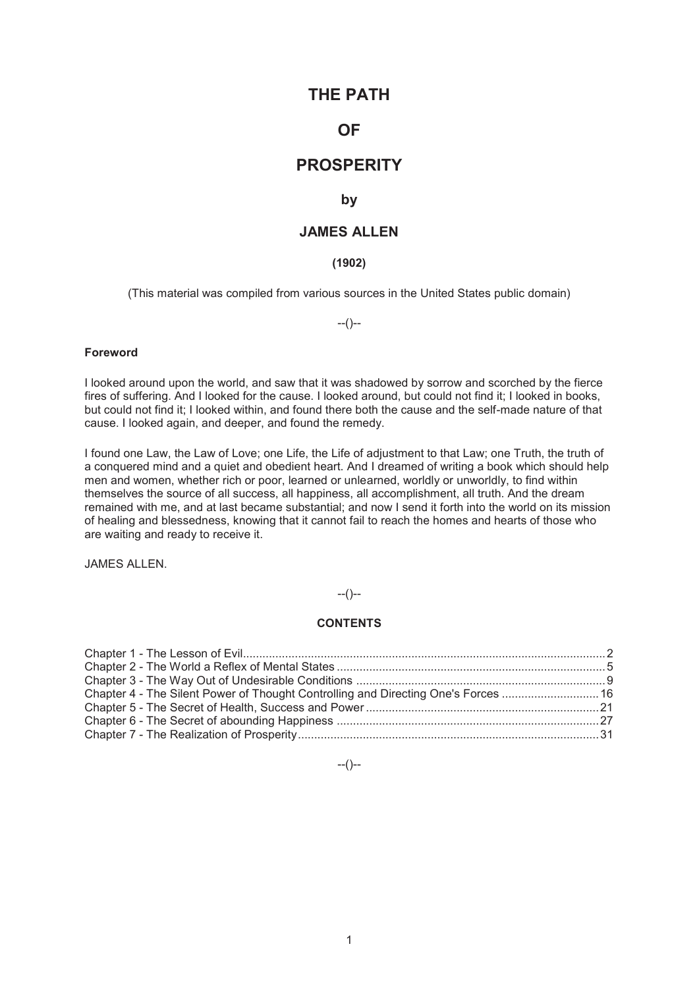## **THE PATH**

# **OF**

## **PROSPERITY**

## **by**

## **JAMES ALLEN**

## **(1902)**

(This material was compiled from various sources in the United States public domain)

 $-(-)$ 

## **Foreword**

I looked around upon the world, and saw that it was shadowed by sorrow and scorched by the fierce fires of suffering. And I looked for the cause. I looked around, but could not find it; I looked in books, but could not find it; I looked within, and found there both the cause and the self-made nature of that cause. I looked again, and deeper, and found the remedy.

I found one Law, the Law of Love; one Life, the Life of adjustment to that Law; one Truth, the truth of a conquered mind and a quiet and obedient heart. And I dreamed of writing a book which should help men and women, whether rich or poor, learned or unlearned, worldly or unworldly, to find within themselves the source of all success, all happiness, all accomplishment, all truth. And the dream remained with me, and at last became substantial; and now I send it forth into the world on its mission of healing and blessedness, knowing that it cannot fail to reach the homes and hearts of those who are waiting and ready to receive it.

JAMES ALLEN.

#### --()--

## **CONTENTS**

| Chapter 4 - The Silent Power of Thought Controlling and Directing One's Forces  16 |  |
|------------------------------------------------------------------------------------|--|
|                                                                                    |  |
|                                                                                    |  |
|                                                                                    |  |
|                                                                                    |  |

--()--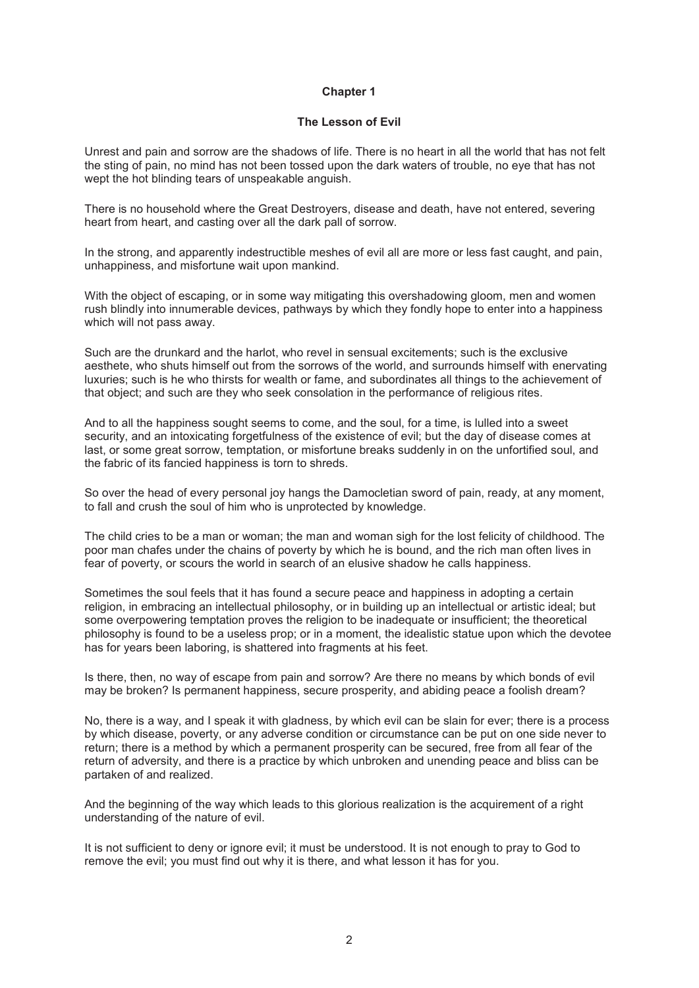## **The Lesson of Evil**

Unrest and pain and sorrow are the shadows of life. There is no heart in all the world that has not felt the sting of pain, no mind has not been tossed upon the dark waters of trouble, no eye that has not wept the hot blinding tears of unspeakable anguish.

There is no household where the Great Destroyers, disease and death, have not entered, severing heart from heart, and casting over all the dark pall of sorrow.

In the strong, and apparently indestructible meshes of evil all are more or less fast caught, and pain, unhappiness, and misfortune wait upon mankind.

With the object of escaping, or in some way mitigating this overshadowing gloom, men and women rush blindly into innumerable devices, pathways by which they fondly hope to enter into a happiness which will not pass away.

Such are the drunkard and the harlot, who revel in sensual excitements; such is the exclusive aesthete, who shuts himself out from the sorrows of the world, and surrounds himself with enervating luxuries; such is he who thirsts for wealth or fame, and subordinates all things to the achievement of that object; and such are they who seek consolation in the performance of religious rites.

And to all the happiness sought seems to come, and the soul, for a time, is lulled into a sweet security, and an intoxicating forgetfulness of the existence of evil; but the day of disease comes at last, or some great sorrow, temptation, or misfortune breaks suddenly in on the unfortified soul, and the fabric of its fancied happiness is torn to shreds.

So over the head of every personal joy hangs the Damocletian sword of pain, ready, at any moment, to fall and crush the soul of him who is unprotected by knowledge.

The child cries to be a man or woman; the man and woman sigh for the lost felicity of childhood. The poor man chafes under the chains of poverty by which he is bound, and the rich man often lives in fear of poverty, or scours the world in search of an elusive shadow he calls happiness.

Sometimes the soul feels that it has found a secure peace and happiness in adopting a certain religion, in embracing an intellectual philosophy, or in building up an intellectual or artistic ideal; but some overpowering temptation proves the religion to be inadequate or insufficient; the theoretical philosophy is found to be a useless prop; or in a moment, the idealistic statue upon which the devotee has for years been laboring, is shattered into fragments at his feet.

Is there, then, no way of escape from pain and sorrow? Are there no means by which bonds of evil may be broken? Is permanent happiness, secure prosperity, and abiding peace a foolish dream?

No, there is a way, and I speak it with gladness, by which evil can be slain for ever; there is a process by which disease, poverty, or any adverse condition or circumstance can be put on one side never to return; there is a method by which a permanent prosperity can be secured, free from all fear of the return of adversity, and there is a practice by which unbroken and unending peace and bliss can be partaken of and realized.

And the beginning of the way which leads to this glorious realization is the acquirement of a right understanding of the nature of evil.

It is not sufficient to deny or ignore evil; it must be understood. It is not enough to pray to God to remove the evil; you must find out why it is there, and what lesson it has for you.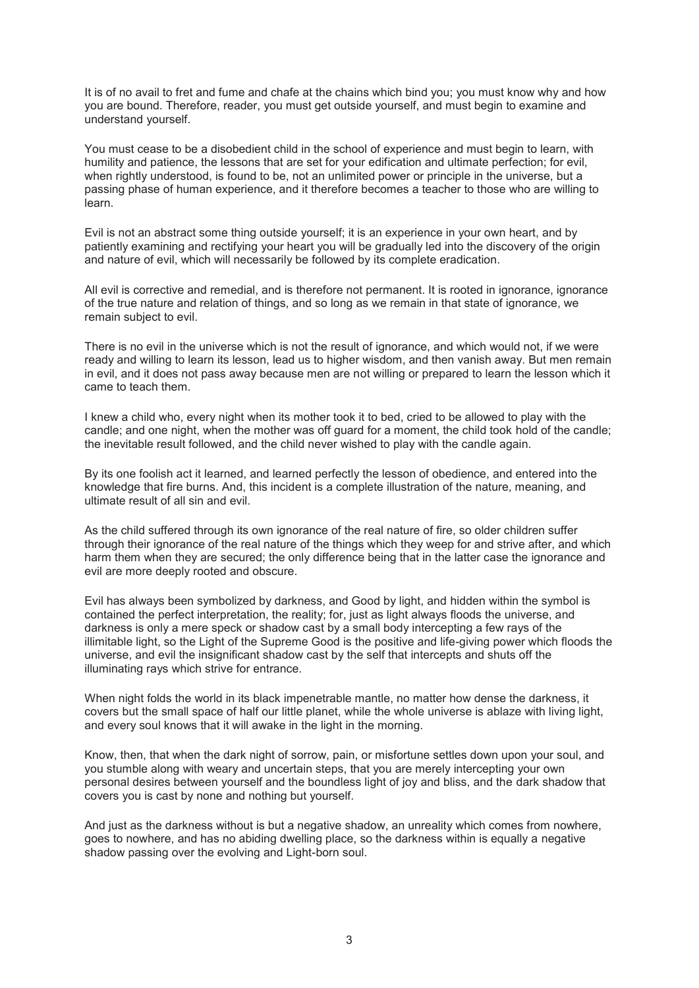It is of no avail to fret and fume and chafe at the chains which bind you; you must know why and how you are bound. Therefore, reader, you must get outside yourself, and must begin to examine and understand yourself.

You must cease to be a disobedient child in the school of experience and must begin to learn, with humility and patience, the lessons that are set for your edification and ultimate perfection; for evil, when rightly understood, is found to be, not an unlimited power or principle in the universe, but a passing phase of human experience, and it therefore becomes a teacher to those who are willing to learn.

Evil is not an abstract some thing outside yourself; it is an experience in your own heart, and by patiently examining and rectifying your heart you will be gradually led into the discovery of the origin and nature of evil, which will necessarily be followed by its complete eradication.

All evil is corrective and remedial, and is therefore not permanent. It is rooted in ignorance, ignorance of the true nature and relation of things, and so long as we remain in that state of ignorance, we remain subject to evil.

There is no evil in the universe which is not the result of ignorance, and which would not, if we were ready and willing to learn its lesson, lead us to higher wisdom, and then vanish away. But men remain in evil, and it does not pass away because men are not willing or prepared to learn the lesson which it came to teach them.

I knew a child who, every night when its mother took it to bed, cried to be allowed to play with the candle; and one night, when the mother was off guard for a moment, the child took hold of the candle; the inevitable result followed, and the child never wished to play with the candle again.

By its one foolish act it learned, and learned perfectly the lesson of obedience, and entered into the knowledge that fire burns. And, this incident is a complete illustration of the nature, meaning, and ultimate result of all sin and evil.

As the child suffered through its own ignorance of the real nature of fire, so older children suffer through their ignorance of the real nature of the things which they weep for and strive after, and which harm them when they are secured; the only difference being that in the latter case the ignorance and evil are more deeply rooted and obscure.

Evil has always been symbolized by darkness, and Good by light, and hidden within the symbol is contained the perfect interpretation, the reality; for, just as light always floods the universe, and darkness is only a mere speck or shadow cast by a small body intercepting a few rays of the illimitable light, so the Light of the Supreme Good is the positive and life-giving power which floods the universe, and evil the insignificant shadow cast by the self that intercepts and shuts off the illuminating rays which strive for entrance.

When night folds the world in its black impenetrable mantle, no matter how dense the darkness, it covers but the small space of half our little planet, while the whole universe is ablaze with living light, and every soul knows that it will awake in the light in the morning.

Know, then, that when the dark night of sorrow, pain, or misfortune settles down upon your soul, and you stumble along with weary and uncertain steps, that you are merely intercepting your own personal desires between yourself and the boundless light of joy and bliss, and the dark shadow that covers you is cast by none and nothing but yourself.

And just as the darkness without is but a negative shadow, an unreality which comes from nowhere, goes to nowhere, and has no abiding dwelling place, so the darkness within is equally a negative shadow passing over the evolving and Light-born soul.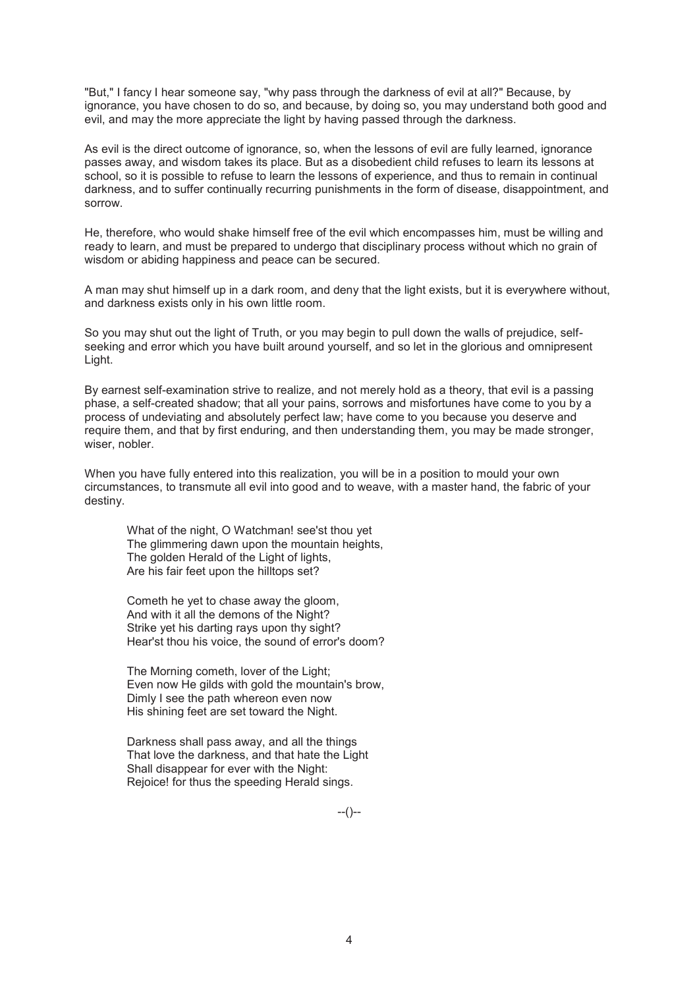"But," I fancy I hear someone say, "why pass through the darkness of evil at all?" Because, by ignorance, you have chosen to do so, and because, by doing so, you may understand both good and evil, and may the more appreciate the light by having passed through the darkness.

As evil is the direct outcome of ignorance, so, when the lessons of evil are fully learned, ignorance passes away, and wisdom takes its place. But as a disobedient child refuses to learn its lessons at school, so it is possible to refuse to learn the lessons of experience, and thus to remain in continual darkness, and to suffer continually recurring punishments in the form of disease, disappointment, and sorrow.

He, therefore, who would shake himself free of the evil which encompasses him, must be willing and ready to learn, and must be prepared to undergo that disciplinary process without which no grain of wisdom or abiding happiness and peace can be secured.

A man may shut himself up in a dark room, and deny that the light exists, but it is everywhere without, and darkness exists only in his own little room.

So you may shut out the light of Truth, or you may begin to pull down the walls of prejudice, selfseeking and error which you have built around yourself, and so let in the glorious and omnipresent Light.

By earnest self-examination strive to realize, and not merely hold as a theory, that evil is a passing phase, a self-created shadow; that all your pains, sorrows and misfortunes have come to you by a process of undeviating and absolutely perfect law; have come to you because you deserve and require them, and that by first enduring, and then understanding them, you may be made stronger, wiser, nobler.

When you have fully entered into this realization, you will be in a position to mould your own circumstances, to transmute all evil into good and to weave, with a master hand, the fabric of your destiny.

What of the night, O Watchman! see'st thou yet The glimmering dawn upon the mountain heights, The golden Herald of the Light of lights, Are his fair feet upon the hilltops set?

Cometh he yet to chase away the gloom, And with it all the demons of the Night? Strike yet his darting rays upon thy sight? Hear'st thou his voice, the sound of error's doom?

The Morning cometh, lover of the Light; Even now He gilds with gold the mountain's brow, Dimly I see the path whereon even now His shining feet are set toward the Night.

Darkness shall pass away, and all the things That love the darkness, and that hate the Light Shall disappear for ever with the Night: Rejoice! for thus the speeding Herald sings.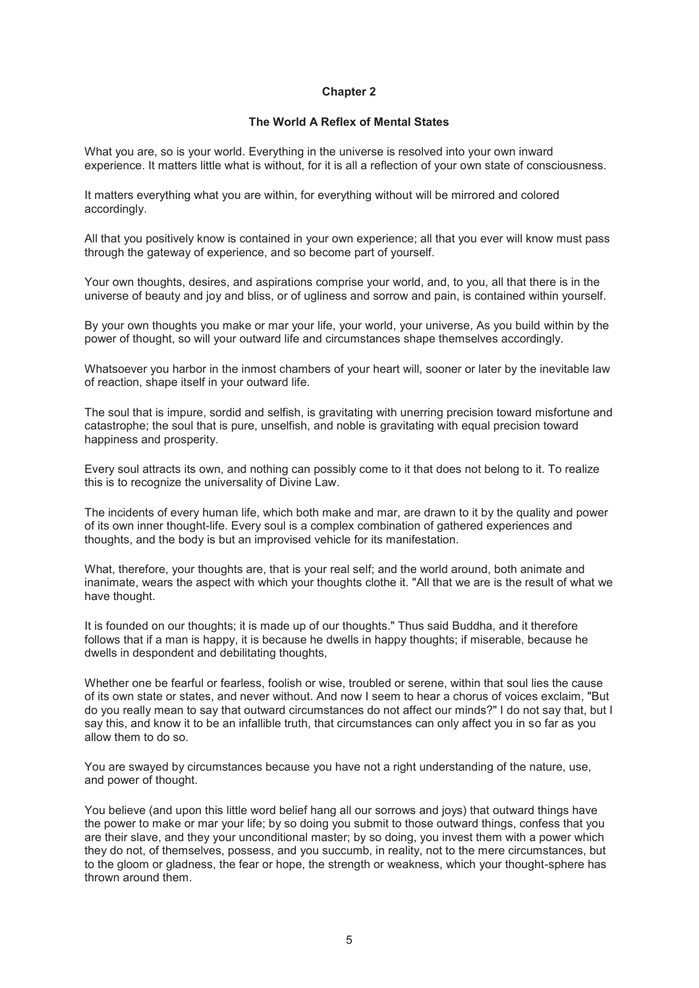## **The World A Reflex of Mental States**

What you are, so is your world. Everything in the universe is resolved into your own inward experience. It matters little what is without, for it is all a reflection of your own state of consciousness.

It matters everything what you are within, for everything without will be mirrored and colored accordingly.

All that you positively know is contained in your own experience; all that you ever will know must pass through the gateway of experience, and so become part of yourself.

Your own thoughts, desires, and aspirations comprise your world, and, to you, all that there is in the universe of beauty and joy and bliss, or of ugliness and sorrow and pain, is contained within yourself.

By your own thoughts you make or mar your life, your world, your universe, As you build within by the power of thought, so will your outward life and circumstances shape themselves accordingly.

Whatsoever you harbor in the inmost chambers of your heart will, sooner or later by the inevitable law of reaction, shape itself in your outward life.

The soul that is impure, sordid and selfish, is gravitating with unerring precision toward misfortune and catastrophe; the soul that is pure, unselfish, and noble is gravitating with equal precision toward happiness and prosperity.

Every soul attracts its own, and nothing can possibly come to it that does not belong to it. To realize this is to recognize the universality of Divine Law.

The incidents of every human life, which both make and mar, are drawn to it by the quality and power of its own inner thought-life. Every soul is a complex combination of gathered experiences and thoughts, and the body is but an improvised vehicle for its manifestation.

What, therefore, your thoughts are, that is your real self; and the world around, both animate and inanimate, wears the aspect with which your thoughts clothe it. "All that we are is the result of what we have thought.

It is founded on our thoughts; it is made up of our thoughts." Thus said Buddha, and it therefore follows that if a man is happy, it is because he dwells in happy thoughts; if miserable, because he dwells in despondent and debilitating thoughts,

Whether one be fearful or fearless, foolish or wise, troubled or serene, within that soul lies the cause of its own state or states, and never without. And now I seem to hear a chorus of voices exclaim, "But do you really mean to say that outward circumstances do not affect our minds?" I do not say that, but I say this, and know it to be an infallible truth, that circumstances can only affect you in so far as you allow them to do so.

You are swayed by circumstances because you have not a right understanding of the nature, use, and power of thought.

You believe (and upon this little word belief hang all our sorrows and joys) that outward things have the power to make or mar your life; by so doing you submit to those outward things, confess that you are their slave, and they your unconditional master; by so doing, you invest them with a power which they do not, of themselves, possess, and you succumb, in reality, not to the mere circumstances, but to the gloom or gladness, the fear or hope, the strength or weakness, which your thought-sphere has thrown around them.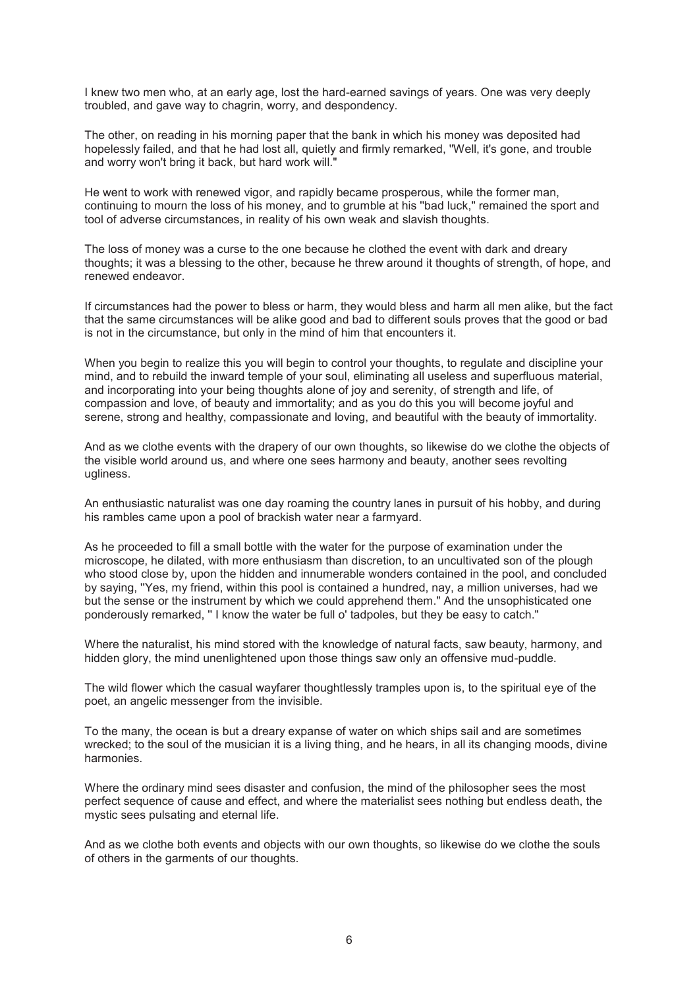I knew two men who, at an early age, lost the hard-earned savings of years. One was very deeply troubled, and gave way to chagrin, worry, and despondency.

The other, on reading in his morning paper that the bank in which his money was deposited had hopelessly failed, and that he had lost all, quietly and firmly remarked, ''Well, it's gone, and trouble and worry won't bring it back, but hard work will."

He went to work with renewed vigor, and rapidly became prosperous, while the former man, continuing to mourn the loss of his money, and to grumble at his ''bad luck," remained the sport and tool of adverse circumstances, in reality of his own weak and slavish thoughts.

The loss of money was a curse to the one because he clothed the event with dark and dreary thoughts; it was a blessing to the other, because he threw around it thoughts of strength, of hope, and renewed endeavor.

If circumstances had the power to bless or harm, they would bless and harm all men alike, but the fact that the same circumstances will be alike good and bad to different souls proves that the good or bad is not in the circumstance, but only in the mind of him that encounters it.

When you begin to realize this you will begin to control your thoughts, to regulate and discipline your mind, and to rebuild the inward temple of your soul, eliminating all useless and superfluous material, and incorporating into your being thoughts alone of joy and serenity, of strength and life, of compassion and love, of beauty and immortality; and as you do this you will become joyful and serene, strong and healthy, compassionate and loving, and beautiful with the beauty of immortality.

And as we clothe events with the drapery of our own thoughts, so likewise do we clothe the objects of the visible world around us, and where one sees harmony and beauty, another sees revolting ugliness.

An enthusiastic naturalist was one day roaming the country lanes in pursuit of his hobby, and during his rambles came upon a pool of brackish water near a farmyard.

As he proceeded to fill a small bottle with the water for the purpose of examination under the microscope, he dilated, with more enthusiasm than discretion, to an uncultivated son of the plough who stood close by, upon the hidden and innumerable wonders contained in the pool, and concluded by saying, ''Yes, my friend, within this pool is contained a hundred, nay, a million universes, had we but the sense or the instrument by which we could apprehend them." And the unsophisticated one ponderously remarked, '' I know the water be full o' tadpoles, but they be easy to catch."

Where the naturalist, his mind stored with the knowledge of natural facts, saw beauty, harmony, and hidden glory, the mind unenlightened upon those things saw only an offensive mud-puddle.

The wild flower which the casual wayfarer thoughtlessly tramples upon is, to the spiritual eye of the poet, an angelic messenger from the invisible.

To the many, the ocean is but a dreary expanse of water on which ships sail and are sometimes wrecked; to the soul of the musician it is a living thing, and he hears, in all its changing moods, divine harmonies.

Where the ordinary mind sees disaster and confusion, the mind of the philosopher sees the most perfect sequence of cause and effect, and where the materialist sees nothing but endless death, the mystic sees pulsating and eternal life.

And as we clothe both events and objects with our own thoughts, so likewise do we clothe the souls of others in the garments of our thoughts.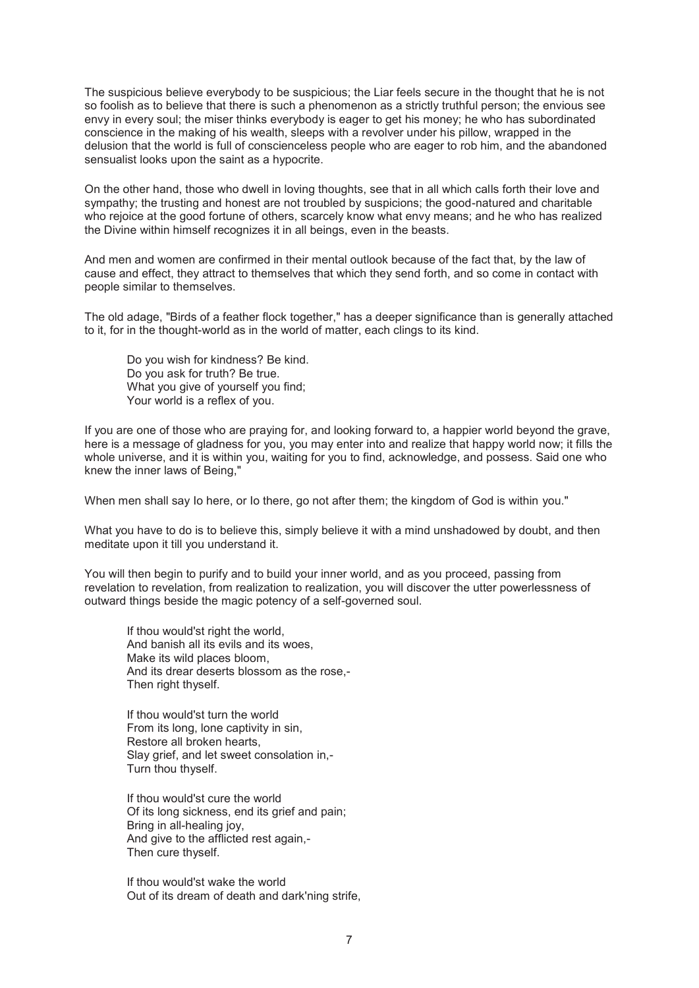The suspicious believe everybody to be suspicious; the Liar feels secure in the thought that he is not so foolish as to believe that there is such a phenomenon as a strictly truthful person; the envious see envy in every soul; the miser thinks everybody is eager to get his money; he who has subordinated conscience in the making of his wealth, sleeps with a revolver under his pillow, wrapped in the delusion that the world is full of conscienceless people who are eager to rob him, and the abandoned sensualist looks upon the saint as a hypocrite.

On the other hand, those who dwell in loving thoughts, see that in all which calls forth their love and sympathy; the trusting and honest are not troubled by suspicions; the good-natured and charitable who rejoice at the good fortune of others, scarcely know what envy means; and he who has realized the Divine within himself recognizes it in all beings, even in the beasts.

And men and women are confirmed in their mental outlook because of the fact that, by the law of cause and effect, they attract to themselves that which they send forth, and so come in contact with people similar to themselves.

The old adage, "Birds of a feather flock together," has a deeper significance than is generally attached to it, for in the thought-world as in the world of matter, each clings to its kind.

Do you wish for kindness? Be kind. Do you ask for truth? Be true. What you give of yourself you find; Your world is a reflex of you.

If you are one of those who are praying for, and looking forward to, a happier world beyond the grave, here is a message of gladness for you, you may enter into and realize that happy world now; it fills the whole universe, and it is within you, waiting for you to find, acknowledge, and possess. Said one who knew the inner laws of Being,"

When men shall say Io here, or Io there, go not after them; the kingdom of God is within you."

What you have to do is to believe this, simply believe it with a mind unshadowed by doubt, and then meditate upon it till you understand it.

You will then begin to purify and to build your inner world, and as you proceed, passing from revelation to revelation, from realization to realization, you will discover the utter powerlessness of outward things beside the magic potency of a self-governed soul.

If thou would'st right the world, And banish all its evils and its woes, Make its wild places bloom, And its drear deserts blossom as the rose,- Then right thyself.

If thou would'st turn the world From its long, lone captivity in sin, Restore all broken hearts, Slay grief, and let sweet consolation in,- Turn thou thyself.

If thou would'st cure the world Of its long sickness, end its grief and pain; Bring in all-healing joy, And give to the afflicted rest again,- Then cure thyself.

If thou would'st wake the world Out of its dream of death and dark'ning strife,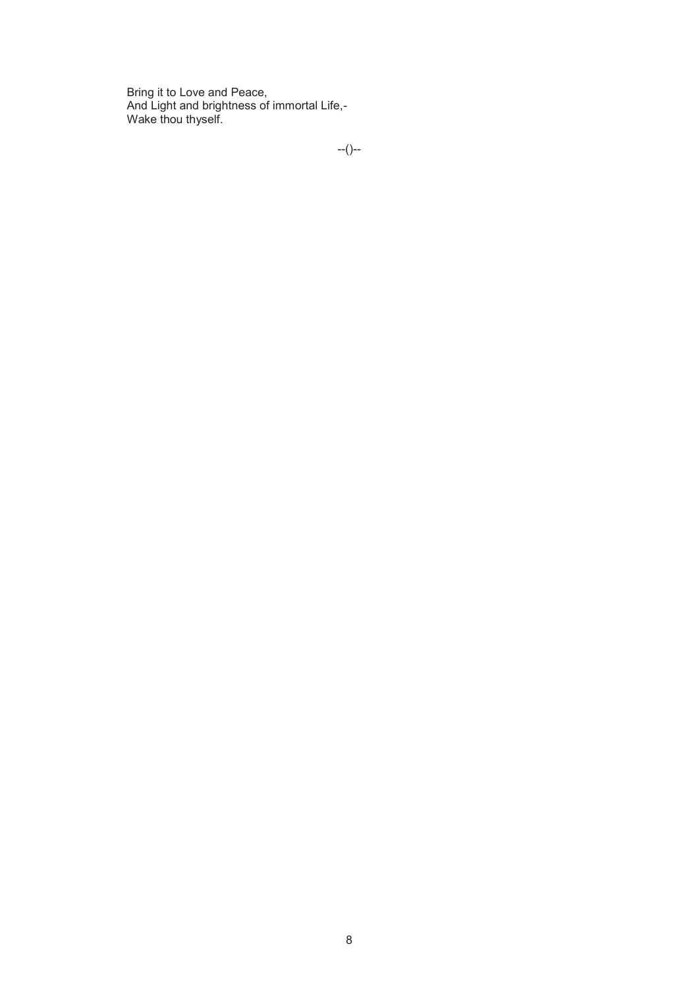Bring it to Love and Peace, And Light and brightness of immortal Life,- Wake thou thyself.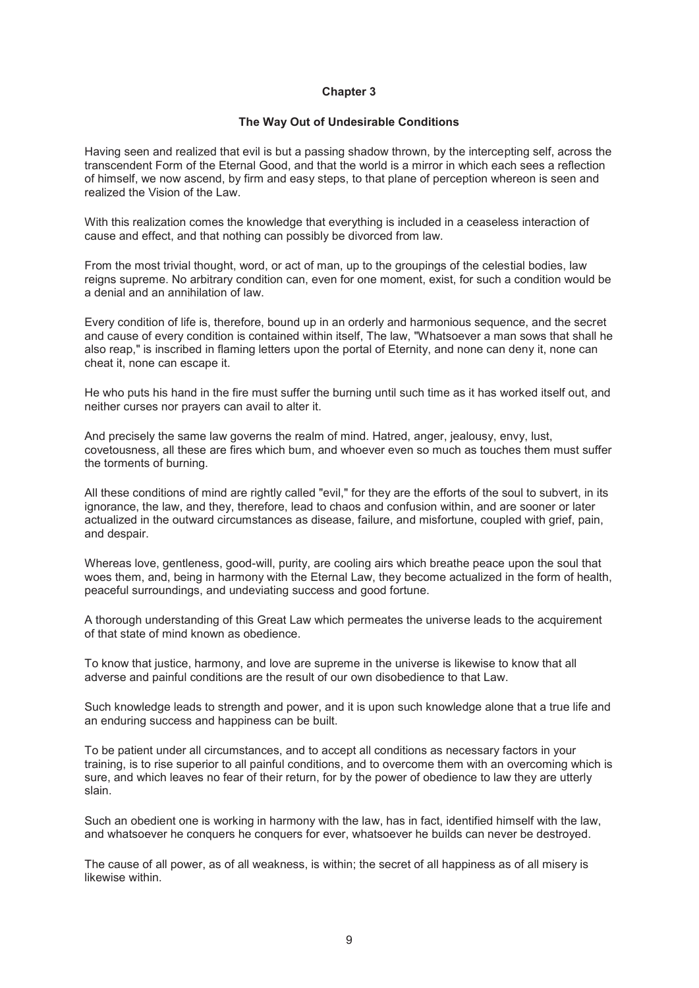#### **The Way Out of Undesirable Conditions**

Having seen and realized that evil is but a passing shadow thrown, by the intercepting self, across the transcendent Form of the Eternal Good, and that the world is a mirror in which each sees a reflection of himself, we now ascend, by firm and easy steps, to that plane of perception whereon is seen and realized the Vision of the Law.

With this realization comes the knowledge that everything is included in a ceaseless interaction of cause and effect, and that nothing can possibly be divorced from law.

From the most trivial thought, word, or act of man, up to the groupings of the celestial bodies, law reigns supreme. No arbitrary condition can, even for one moment, exist, for such a condition would be a denial and an annihilation of law.

Every condition of life is, therefore, bound up in an orderly and harmonious sequence, and the secret and cause of every condition is contained within itself, The law, "Whatsoever a man sows that shall he also reap," is inscribed in flaming letters upon the portal of Eternity, and none can deny it, none can cheat it, none can escape it.

He who puts his hand in the fire must suffer the burning until such time as it has worked itself out, and neither curses nor prayers can avail to alter it.

And precisely the same law governs the realm of mind. Hatred, anger, jealousy, envy, lust, covetousness, all these are fires which bum, and whoever even so much as touches them must suffer the torments of burning.

All these conditions of mind are rightly called "evil," for they are the efforts of the soul to subvert, in its ignorance, the law, and they, therefore, lead to chaos and confusion within, and are sooner or later actualized in the outward circumstances as disease, failure, and misfortune, coupled with grief, pain, and despair.

Whereas love, gentleness, good-will, purity, are cooling airs which breathe peace upon the soul that woes them, and, being in harmony with the Eternal Law, they become actualized in the form of health, peaceful surroundings, and undeviating success and good fortune.

A thorough understanding of this Great Law which permeates the universe leads to the acquirement of that state of mind known as obedience.

To know that justice, harmony, and love are supreme in the universe is likewise to know that all adverse and painful conditions are the result of our own disobedience to that Law.

Such knowledge leads to strength and power, and it is upon such knowledge alone that a true life and an enduring success and happiness can be built.

To be patient under all circumstances, and to accept all conditions as necessary factors in your training, is to rise superior to all painful conditions, and to overcome them with an overcoming which is sure, and which leaves no fear of their return, for by the power of obedience to law they are utterly slain.

Such an obedient one is working in harmony with the law, has in fact, identified himself with the law, and whatsoever he conquers he conquers for ever, whatsoever he builds can never be destroyed.

The cause of all power, as of all weakness, is within; the secret of all happiness as of all misery is likewise within.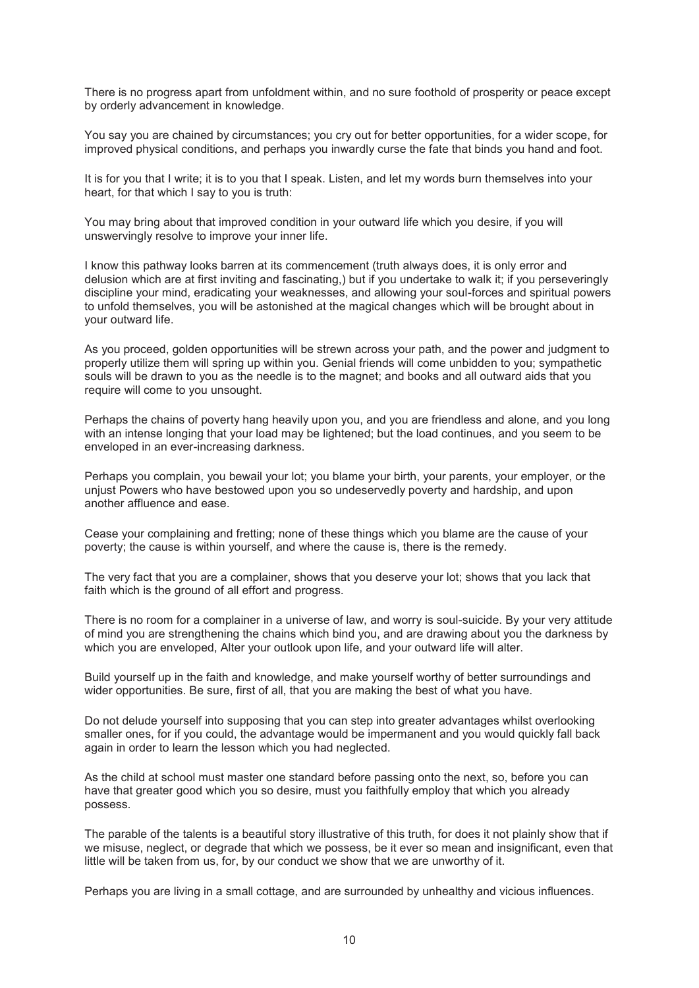There is no progress apart from unfoldment within, and no sure foothold of prosperity or peace except by orderly advancement in knowledge.

You say you are chained by circumstances; you cry out for better opportunities, for a wider scope, for improved physical conditions, and perhaps you inwardly curse the fate that binds you hand and foot.

It is for you that I write; it is to you that I speak. Listen, and let my words burn themselves into your heart, for that which I say to you is truth:

You may bring about that improved condition in your outward life which you desire, if you will unswervingly resolve to improve your inner life.

I know this pathway looks barren at its commencement (truth always does, it is only error and delusion which are at first inviting and fascinating,) but if you undertake to walk it; if you perseveringly discipline your mind, eradicating your weaknesses, and allowing your soul-forces and spiritual powers to unfold themselves, you will be astonished at the magical changes which will be brought about in your outward life.

As you proceed, golden opportunities will be strewn across your path, and the power and judgment to properly utilize them will spring up within you. Genial friends will come unbidden to you; sympathetic souls will be drawn to you as the needle is to the magnet; and books and all outward aids that you require will come to you unsought.

Perhaps the chains of poverty hang heavily upon you, and you are friendless and alone, and you long with an intense longing that your load may be lightened; but the load continues, and you seem to be enveloped in an ever-increasing darkness.

Perhaps you complain, you bewail your lot; you blame your birth, your parents, your employer, or the unjust Powers who have bestowed upon you so undeservedly poverty and hardship, and upon another affluence and ease.

Cease your complaining and fretting; none of these things which you blame are the cause of your poverty; the cause is within yourself, and where the cause is, there is the remedy.

The very fact that you are a complainer, shows that you deserve your lot; shows that you lack that faith which is the ground of all effort and progress.

There is no room for a complainer in a universe of law, and worry is soul-suicide. By your very attitude of mind you are strengthening the chains which bind you, and are drawing about you the darkness by which you are enveloped, Alter your outlook upon life, and your outward life will alter.

Build yourself up in the faith and knowledge, and make yourself worthy of better surroundings and wider opportunities. Be sure, first of all, that you are making the best of what you have.

Do not delude yourself into supposing that you can step into greater advantages whilst overlooking smaller ones, for if you could, the advantage would be impermanent and you would quickly fall back again in order to learn the lesson which you had neglected.

As the child at school must master one standard before passing onto the next, so, before you can have that greater good which you so desire, must you faithfully employ that which you already possess.

The parable of the talents is a beautiful story illustrative of this truth, for does it not plainly show that if we misuse, neglect, or degrade that which we possess, be it ever so mean and insignificant, even that little will be taken from us, for, by our conduct we show that we are unworthy of it.

Perhaps you are living in a small cottage, and are surrounded by unhealthy and vicious influences.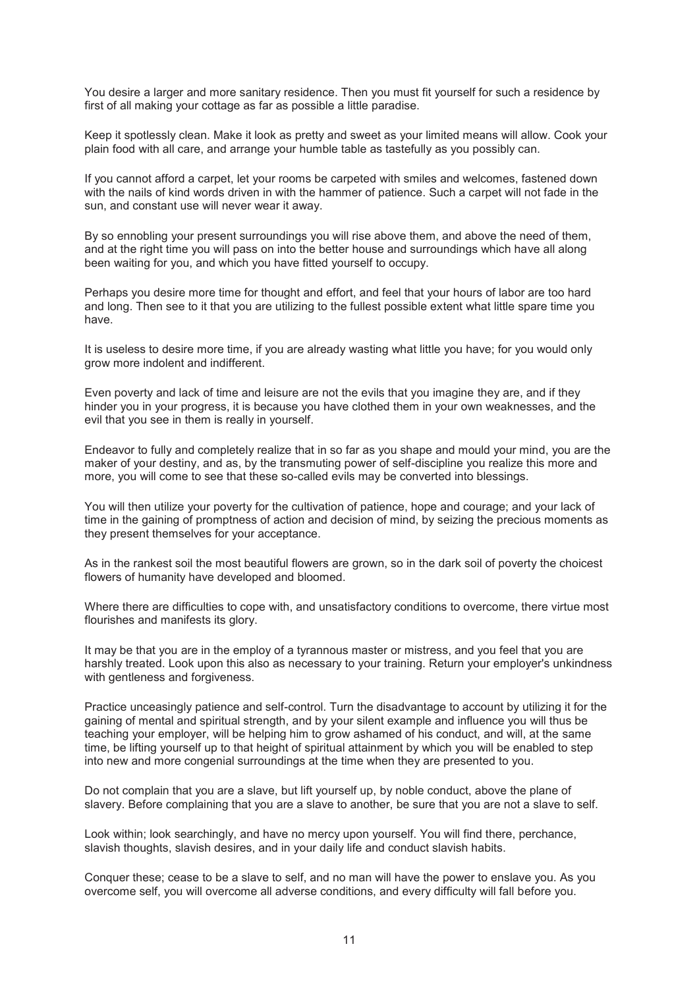You desire a larger and more sanitary residence. Then you must fit yourself for such a residence by first of all making your cottage as far as possible a little paradise.

Keep it spotlessly clean. Make it look as pretty and sweet as your limited means will allow. Cook your plain food with all care, and arrange your humble table as tastefully as you possibly can.

If you cannot afford a carpet, let your rooms be carpeted with smiles and welcomes, fastened down with the nails of kind words driven in with the hammer of patience. Such a carpet will not fade in the sun, and constant use will never wear it away.

By so ennobling your present surroundings you will rise above them, and above the need of them, and at the right time you will pass on into the better house and surroundings which have all along been waiting for you, and which you have fitted yourself to occupy.

Perhaps you desire more time for thought and effort, and feel that your hours of labor are too hard and long. Then see to it that you are utilizing to the fullest possible extent what little spare time you have.

It is useless to desire more time, if you are already wasting what little you have; for you would only grow more indolent and indifferent.

Even poverty and lack of time and leisure are not the evils that you imagine they are, and if they hinder you in your progress, it is because you have clothed them in your own weaknesses, and the evil that you see in them is really in yourself.

Endeavor to fully and completely realize that in so far as you shape and mould your mind, you are the maker of your destiny, and as, by the transmuting power of self-discipline you realize this more and more, you will come to see that these so-called evils may be converted into blessings.

You will then utilize your poverty for the cultivation of patience, hope and courage; and your lack of time in the gaining of promptness of action and decision of mind, by seizing the precious moments as they present themselves for your acceptance.

As in the rankest soil the most beautiful flowers are grown, so in the dark soil of poverty the choicest flowers of humanity have developed and bloomed.

Where there are difficulties to cope with, and unsatisfactory conditions to overcome, there virtue most flourishes and manifests its glory.

It may be that you are in the employ of a tyrannous master or mistress, and you feel that you are harshly treated. Look upon this also as necessary to your training. Return your employer's unkindness with gentleness and forgiveness.

Practice unceasingly patience and self-control. Turn the disadvantage to account by utilizing it for the gaining of mental and spiritual strength, and by your silent example and influence you will thus be teaching your employer, will be helping him to grow ashamed of his conduct, and will, at the same time, be lifting yourself up to that height of spiritual attainment by which you will be enabled to step into new and more congenial surroundings at the time when they are presented to you.

Do not complain that you are a slave, but lift yourself up, by noble conduct, above the plane of slavery. Before complaining that you are a slave to another, be sure that you are not a slave to self.

Look within; look searchingly, and have no mercy upon yourself. You will find there, perchance, slavish thoughts, slavish desires, and in your daily life and conduct slavish habits.

Conquer these; cease to be a slave to self, and no man will have the power to enslave you. As you overcome self, you will overcome all adverse conditions, and every difficulty will fall before you.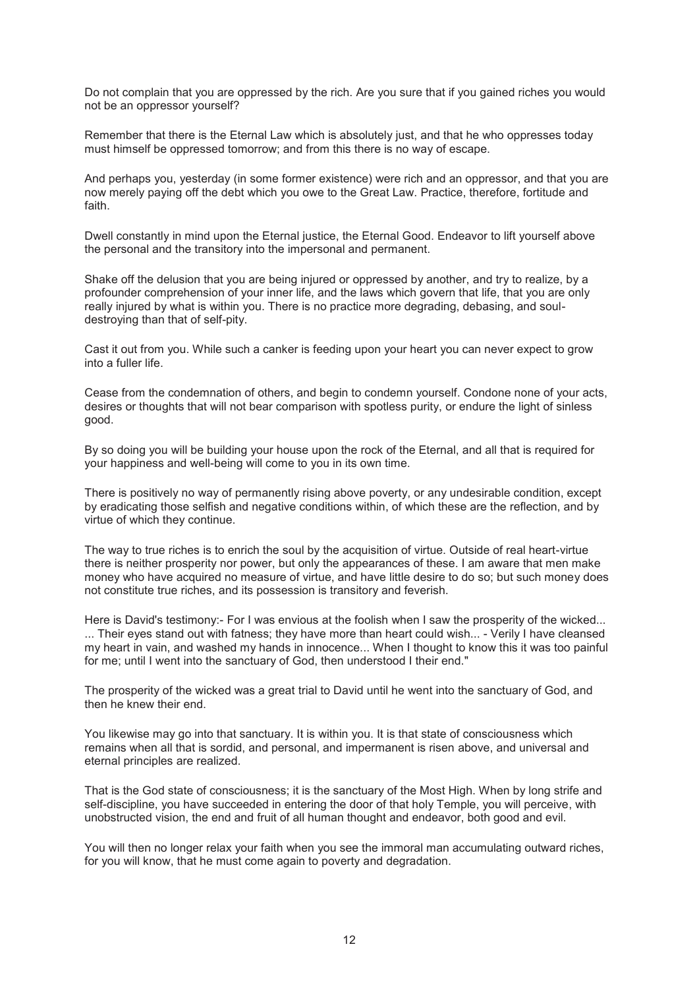Do not complain that you are oppressed by the rich. Are you sure that if you gained riches you would not be an oppressor yourself?

Remember that there is the Eternal Law which is absolutely just, and that he who oppresses today must himself be oppressed tomorrow; and from this there is no way of escape.

And perhaps you, yesterday (in some former existence) were rich and an oppressor, and that you are now merely paying off the debt which you owe to the Great Law. Practice, therefore, fortitude and faith.

Dwell constantly in mind upon the Eternal justice, the Eternal Good. Endeavor to lift yourself above the personal and the transitory into the impersonal and permanent.

Shake off the delusion that you are being injured or oppressed by another, and try to realize, by a profounder comprehension of your inner life, and the laws which govern that life, that you are only really injured by what is within you. There is no practice more degrading, debasing, and souldestroying than that of self-pity.

Cast it out from you. While such a canker is feeding upon your heart you can never expect to grow into a fuller life.

Cease from the condemnation of others, and begin to condemn yourself. Condone none of your acts, desires or thoughts that will not bear comparison with spotless purity, or endure the light of sinless good.

By so doing you will be building your house upon the rock of the Eternal, and all that is required for your happiness and well-being will come to you in its own time.

There is positively no way of permanently rising above poverty, or any undesirable condition, except by eradicating those selfish and negative conditions within, of which these are the reflection, and by virtue of which they continue.

The way to true riches is to enrich the soul by the acquisition of virtue. Outside of real heart-virtue there is neither prosperity nor power, but only the appearances of these. I am aware that men make money who have acquired no measure of virtue, and have little desire to do so; but such money does not constitute true riches, and its possession is transitory and feverish.

Here is David's testimony:- For I was envious at the foolish when I saw the prosperity of the wicked... ... Their eyes stand out with fatness; they have more than heart could wish... - Verily I have cleansed my heart in vain, and washed my hands in innocence... When I thought to know this it was too painful for me; until I went into the sanctuary of God, then understood I their end."

The prosperity of the wicked was a great trial to David until he went into the sanctuary of God, and then he knew their end.

You likewise may go into that sanctuary. It is within you. It is that state of consciousness which remains when all that is sordid, and personal, and impermanent is risen above, and universal and eternal principles are realized.

That is the God state of consciousness; it is the sanctuary of the Most High. When by long strife and self-discipline, you have succeeded in entering the door of that holy Temple, you will perceive, with unobstructed vision, the end and fruit of all human thought and endeavor, both good and evil.

You will then no longer relax your faith when you see the immoral man accumulating outward riches, for you will know, that he must come again to poverty and degradation.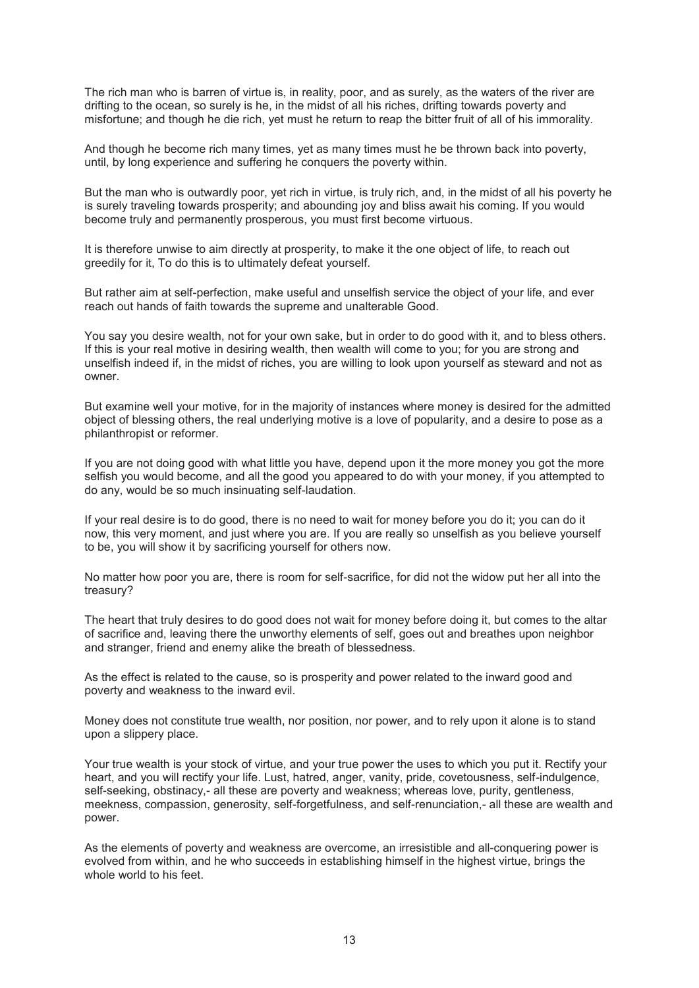The rich man who is barren of virtue is, in reality, poor, and as surely, as the waters of the river are drifting to the ocean, so surely is he, in the midst of all his riches, drifting towards poverty and misfortune; and though he die rich, yet must he return to reap the bitter fruit of all of his immorality.

And though he become rich many times, yet as many times must he be thrown back into poverty, until, by long experience and suffering he conquers the poverty within.

But the man who is outwardly poor, yet rich in virtue, is truly rich, and, in the midst of all his poverty he is surely traveling towards prosperity; and abounding joy and bliss await his coming. If you would become truly and permanently prosperous, you must first become virtuous.

It is therefore unwise to aim directly at prosperity, to make it the one object of life, to reach out greedily for it, To do this is to ultimately defeat yourself.

But rather aim at self-perfection, make useful and unselfish service the object of your life, and ever reach out hands of faith towards the supreme and unalterable Good.

You say you desire wealth, not for your own sake, but in order to do good with it, and to bless others. If this is your real motive in desiring wealth, then wealth will come to you; for you are strong and unselfish indeed if, in the midst of riches, you are willing to look upon yourself as steward and not as owner.

But examine well your motive, for in the majority of instances where money is desired for the admitted object of blessing others, the real underlying motive is a love of popularity, and a desire to pose as a philanthropist or reformer.

If you are not doing good with what little you have, depend upon it the more money you got the more selfish you would become, and all the good you appeared to do with your money, if you attempted to do any, would be so much insinuating self-laudation.

If your real desire is to do good, there is no need to wait for money before you do it; you can do it now, this very moment, and just where you are. If you are really so unselfish as you believe yourself to be, you will show it by sacrificing yourself for others now.

No matter how poor you are, there is room for self-sacrifice, for did not the widow put her all into the treasury?

The heart that truly desires to do good does not wait for money before doing it, but comes to the altar of sacrifice and, leaving there the unworthy elements of self, goes out and breathes upon neighbor and stranger, friend and enemy alike the breath of blessedness.

As the effect is related to the cause, so is prosperity and power related to the inward good and poverty and weakness to the inward evil.

Money does not constitute true wealth, nor position, nor power, and to rely upon it alone is to stand upon a slippery place.

Your true wealth is your stock of virtue, and your true power the uses to which you put it. Rectify your heart, and you will rectify your life. Lust, hatred, anger, vanity, pride, covetousness, self-indulgence, self-seeking, obstinacy,- all these are poverty and weakness; whereas love, purity, gentleness, meekness, compassion, generosity, self-forgetfulness, and self-renunciation,- all these are wealth and power.

As the elements of poverty and weakness are overcome, an irresistible and all-conquering power is evolved from within, and he who succeeds in establishing himself in the highest virtue, brings the whole world to his feet.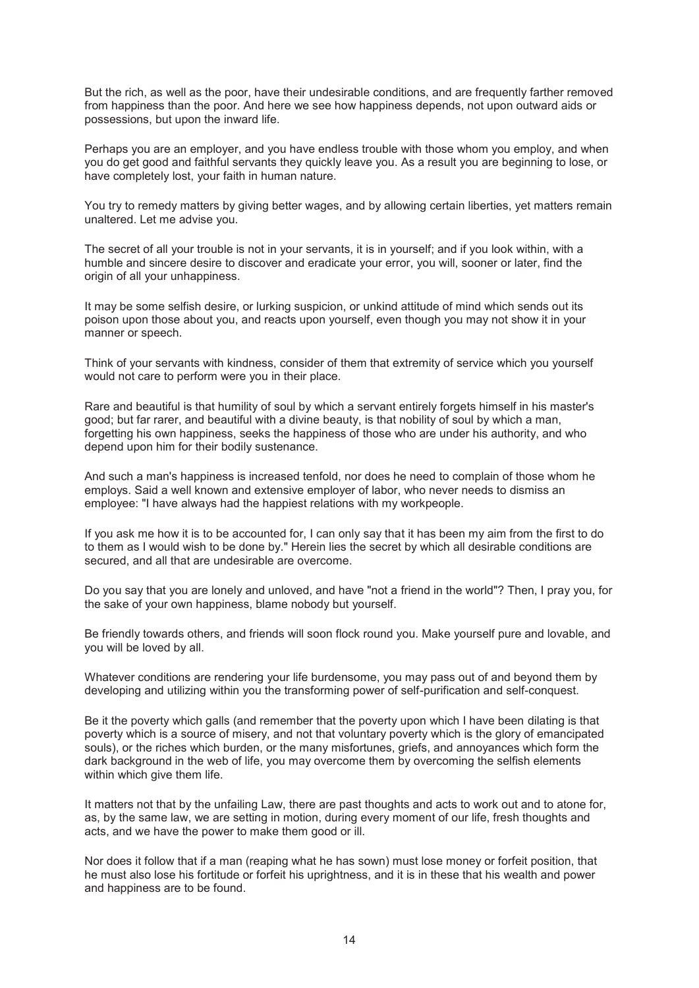But the rich, as well as the poor, have their undesirable conditions, and are frequently farther removed from happiness than the poor. And here we see how happiness depends, not upon outward aids or possessions, but upon the inward life.

Perhaps you are an employer, and you have endless trouble with those whom you employ, and when you do get good and faithful servants they quickly leave you. As a result you are beginning to lose, or have completely lost, your faith in human nature.

You try to remedy matters by giving better wages, and by allowing certain liberties, yet matters remain unaltered. Let me advise you.

The secret of all your trouble is not in your servants, it is in yourself; and if you look within, with a humble and sincere desire to discover and eradicate your error, you will, sooner or later, find the origin of all your unhappiness.

It may be some selfish desire, or lurking suspicion, or unkind attitude of mind which sends out its poison upon those about you, and reacts upon yourself, even though you may not show it in your manner or speech.

Think of your servants with kindness, consider of them that extremity of service which you yourself would not care to perform were you in their place.

Rare and beautiful is that humility of soul by which a servant entirely forgets himself in his master's good; but far rarer, and beautiful with a divine beauty, is that nobility of soul by which a man, forgetting his own happiness, seeks the happiness of those who are under his authority, and who depend upon him for their bodily sustenance.

And such a man's happiness is increased tenfold, nor does he need to complain of those whom he employs. Said a well known and extensive employer of labor, who never needs to dismiss an employee: "I have always had the happiest relations with my workpeople.

If you ask me how it is to be accounted for, I can only say that it has been my aim from the first to do to them as I would wish to be done by." Herein lies the secret by which all desirable conditions are secured, and all that are undesirable are overcome.

Do you say that you are lonely and unloved, and have "not a friend in the world"? Then, I pray you, for the sake of your own happiness, blame nobody but yourself.

Be friendly towards others, and friends will soon flock round you. Make yourself pure and lovable, and you will be loved by all.

Whatever conditions are rendering your life burdensome, you may pass out of and beyond them by developing and utilizing within you the transforming power of self-purification and self-conquest.

Be it the poverty which galls (and remember that the poverty upon which I have been dilating is that poverty which is a source of misery, and not that voluntary poverty which is the glory of emancipated souls), or the riches which burden, or the many misfortunes, griefs, and annoyances which form the dark background in the web of life, you may overcome them by overcoming the selfish elements within which give them life.

It matters not that by the unfailing Law, there are past thoughts and acts to work out and to atone for, as, by the same law, we are setting in motion, during every moment of our life, fresh thoughts and acts, and we have the power to make them good or ill.

Nor does it follow that if a man (reaping what he has sown) must lose money or forfeit position, that he must also lose his fortitude or forfeit his uprightness, and it is in these that his wealth and power and happiness are to be found.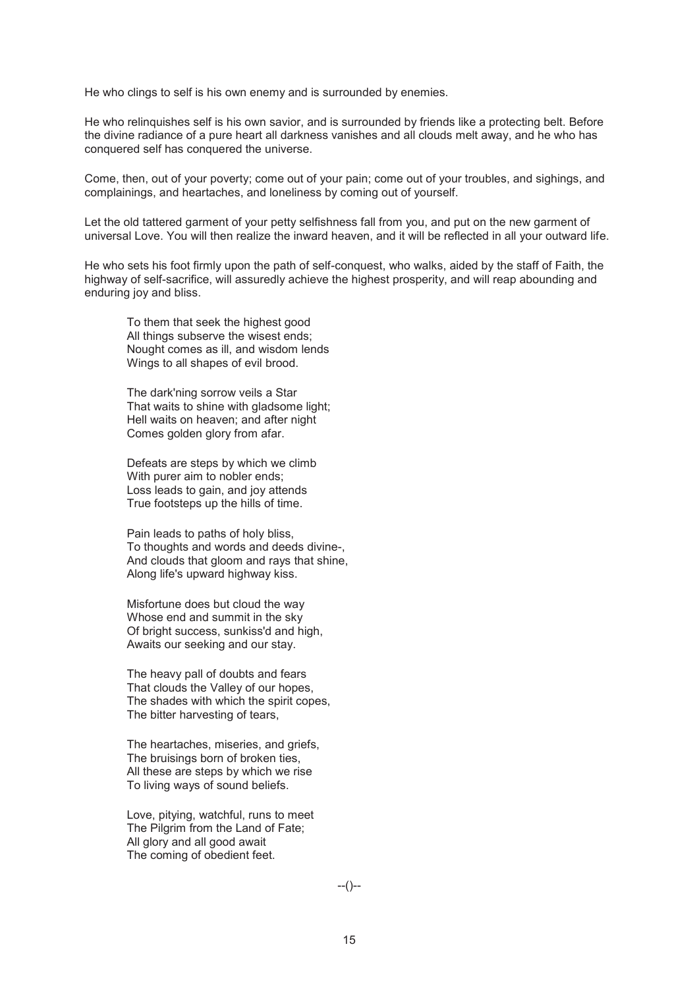He who clings to self is his own enemy and is surrounded by enemies.

He who relinquishes self is his own savior, and is surrounded by friends like a protecting belt. Before the divine radiance of a pure heart all darkness vanishes and all clouds melt away, and he who has conquered self has conquered the universe.

Come, then, out of your poverty; come out of your pain; come out of your troubles, and sighings, and complainings, and heartaches, and loneliness by coming out of yourself.

Let the old tattered garment of your petty selfishness fall from you, and put on the new garment of universal Love. You will then realize the inward heaven, and it will be reflected in all your outward life.

He who sets his foot firmly upon the path of self-conquest, who walks, aided by the staff of Faith, the highway of self-sacrifice, will assuredly achieve the highest prosperity, and will reap abounding and enduring joy and bliss.

To them that seek the highest good All things subserve the wisest ends; Nought comes as ill, and wisdom lends Wings to all shapes of evil brood.

The dark'ning sorrow veils a Star That waits to shine with gladsome light; Hell waits on heaven; and after night Comes golden glory from afar.

Defeats are steps by which we climb With purer aim to nobler ends; Loss leads to gain, and joy attends True footsteps up the hills of time.

Pain leads to paths of holy bliss, To thoughts and words and deeds divine-, And clouds that gloom and rays that shine, Along life's upward highway kiss.

Misfortune does but cloud the way Whose end and summit in the sky Of bright success, sunkiss'd and high, Awaits our seeking and our stay.

The heavy pall of doubts and fears That clouds the Valley of our hopes, The shades with which the spirit copes. The bitter harvesting of tears,

The heartaches, miseries, and griefs. The bruisings born of broken ties, All these are steps by which we rise To living ways of sound beliefs.

Love, pitying, watchful, runs to meet The Pilgrim from the Land of Fate; All glory and all good await The coming of obedient feet.

--()--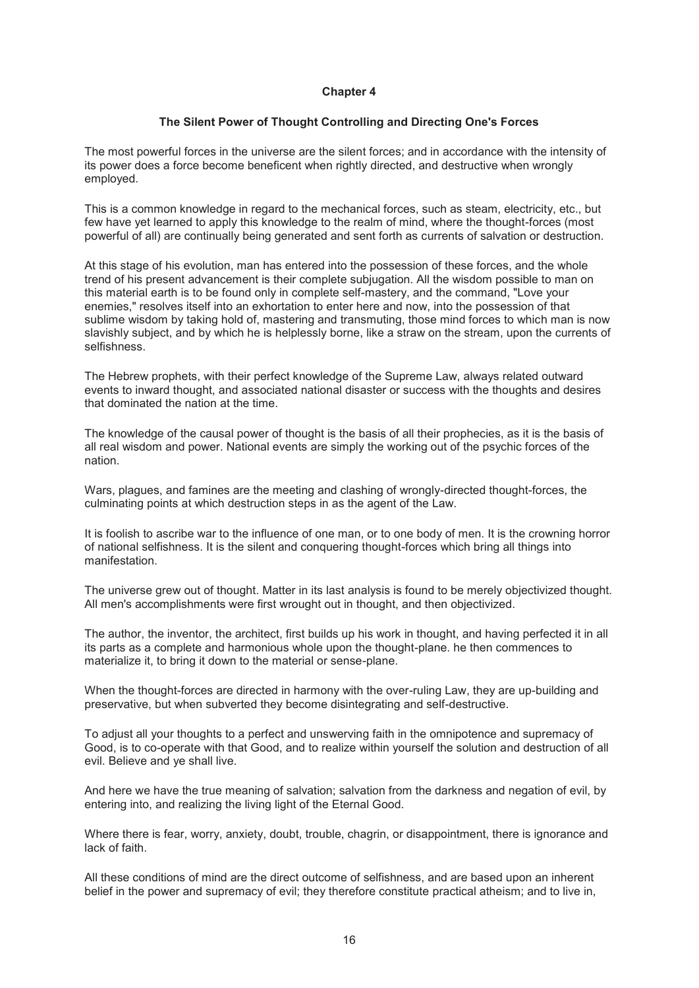## **The Silent Power of Thought Controlling and Directing One's Forces**

The most powerful forces in the universe are the silent forces; and in accordance with the intensity of its power does a force become beneficent when rightly directed, and destructive when wrongly employed.

This is a common knowledge in regard to the mechanical forces, such as steam, electricity, etc., but few have yet learned to apply this knowledge to the realm of mind, where the thought-forces (most powerful of all) are continually being generated and sent forth as currents of salvation or destruction.

At this stage of his evolution, man has entered into the possession of these forces, and the whole trend of his present advancement is their complete subjugation. All the wisdom possible to man on this material earth is to be found only in complete self-mastery, and the command, "Love your enemies," resolves itself into an exhortation to enter here and now, into the possession of that sublime wisdom by taking hold of, mastering and transmuting, those mind forces to which man is now slavishly subject, and by which he is helplessly borne, like a straw on the stream, upon the currents of selfishness.

The Hebrew prophets, with their perfect knowledge of the Supreme Law, always related outward events to inward thought, and associated national disaster or success with the thoughts and desires that dominated the nation at the time.

The knowledge of the causal power of thought is the basis of all their prophecies, as it is the basis of all real wisdom and power. National events are simply the working out of the psychic forces of the nation.

Wars, plagues, and famines are the meeting and clashing of wrongly-directed thought-forces, the culminating points at which destruction steps in as the agent of the Law.

It is foolish to ascribe war to the influence of one man, or to one body of men. It is the crowning horror of national selfishness. It is the silent and conquering thought-forces which bring all things into manifestation.

The universe grew out of thought. Matter in its last analysis is found to be merely objectivized thought. All men's accomplishments were first wrought out in thought, and then objectivized.

The author, the inventor, the architect, first builds up his work in thought, and having perfected it in all its parts as a complete and harmonious whole upon the thought-plane. he then commences to materialize it, to bring it down to the material or sense-plane.

When the thought-forces are directed in harmony with the over-ruling Law, they are up-building and preservative, but when subverted they become disintegrating and self-destructive.

To adjust all your thoughts to a perfect and unswerving faith in the omnipotence and supremacy of Good, is to co-operate with that Good, and to realize within yourself the solution and destruction of all evil. Believe and ye shall live.

And here we have the true meaning of salvation; salvation from the darkness and negation of evil, by entering into, and realizing the living light of the Eternal Good.

Where there is fear, worry, anxiety, doubt, trouble, chagrin, or disappointment, there is ignorance and lack of faith.

All these conditions of mind are the direct outcome of selfishness, and are based upon an inherent belief in the power and supremacy of evil; they therefore constitute practical atheism; and to live in,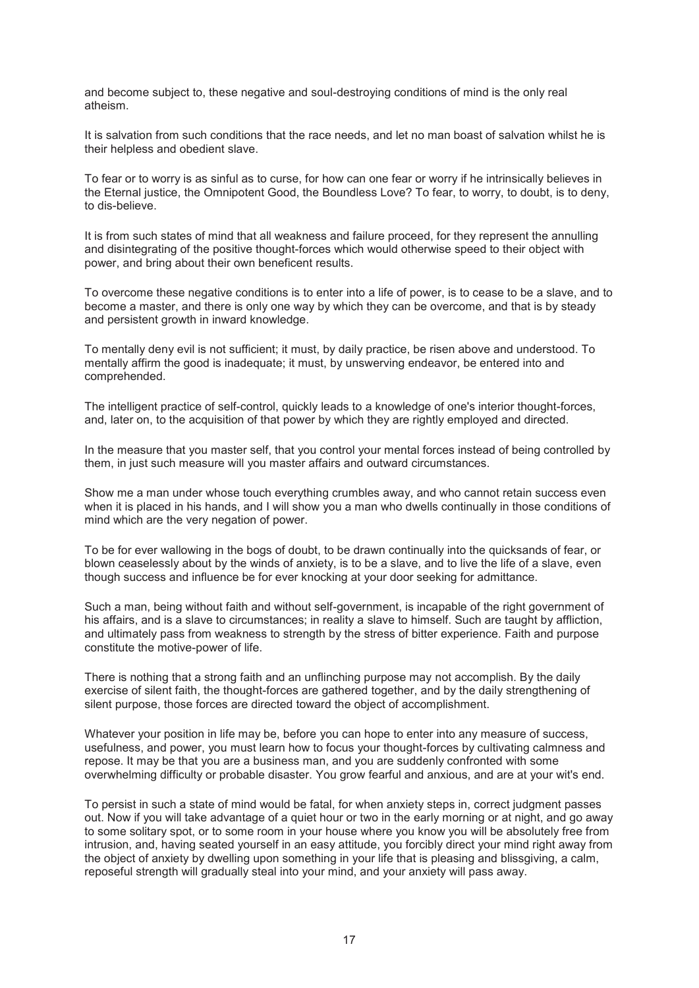and become subject to, these negative and soul-destroying conditions of mind is the only real atheism.

It is salvation from such conditions that the race needs, and let no man boast of salvation whilst he is their helpless and obedient slave.

To fear or to worry is as sinful as to curse, for how can one fear or worry if he intrinsically believes in the Eternal justice, the Omnipotent Good, the Boundless Love? To fear, to worry, to doubt, is to deny, to dis-believe.

It is from such states of mind that all weakness and failure proceed, for they represent the annulling and disintegrating of the positive thought-forces which would otherwise speed to their object with power, and bring about their own beneficent results.

To overcome these negative conditions is to enter into a life of power, is to cease to be a slave, and to become a master, and there is only one way by which they can be overcome, and that is by steady and persistent growth in inward knowledge.

To mentally deny evil is not sufficient; it must, by daily practice, be risen above and understood. To mentally affirm the good is inadequate; it must, by unswerving endeavor, be entered into and comprehended.

The intelligent practice of self-control, quickly leads to a knowledge of one's interior thought-forces, and, later on, to the acquisition of that power by which they are rightly employed and directed.

In the measure that you master self, that you control your mental forces instead of being controlled by them, in just such measure will you master affairs and outward circumstances.

Show me a man under whose touch everything crumbles away, and who cannot retain success even when it is placed in his hands, and I will show you a man who dwells continually in those conditions of mind which are the very negation of power.

To be for ever wallowing in the bogs of doubt, to be drawn continually into the quicksands of fear, or blown ceaselessly about by the winds of anxiety, is to be a slave, and to live the life of a slave, even though success and influence be for ever knocking at your door seeking for admittance.

Such a man, being without faith and without self-government, is incapable of the right government of his affairs, and is a slave to circumstances; in reality a slave to himself. Such are taught by affliction, and ultimately pass from weakness to strength by the stress of bitter experience. Faith and purpose constitute the motive-power of life.

There is nothing that a strong faith and an unflinching purpose may not accomplish. By the daily exercise of silent faith, the thought-forces are gathered together, and by the daily strengthening of silent purpose, those forces are directed toward the object of accomplishment.

Whatever your position in life may be, before you can hope to enter into any measure of success, usefulness, and power, you must learn how to focus your thought-forces by cultivating calmness and repose. It may be that you are a business man, and you are suddenly confronted with some overwhelming difficulty or probable disaster. You grow fearful and anxious, and are at your wit's end.

To persist in such a state of mind would be fatal, for when anxiety steps in, correct judgment passes out. Now if you will take advantage of a quiet hour or two in the early morning or at night, and go away to some solitary spot, or to some room in your house where you know you will be absolutely free from intrusion, and, having seated yourself in an easy attitude, you forcibly direct your mind right away from the object of anxiety by dwelling upon something in your life that is pleasing and blissgiving, a calm, reposeful strength will gradually steal into your mind, and your anxiety will pass away.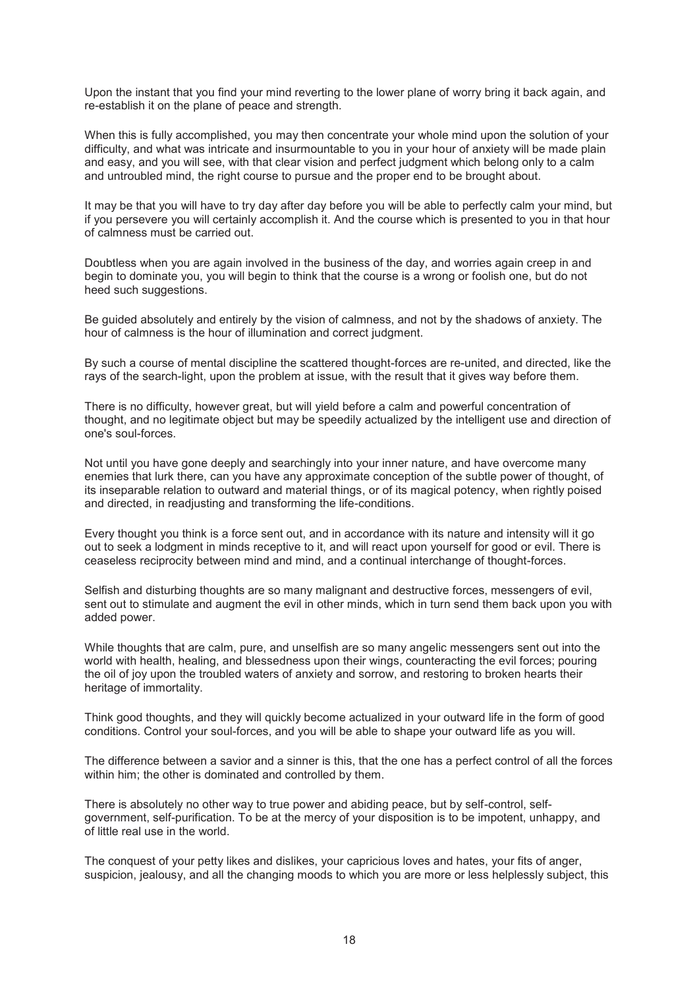Upon the instant that you find your mind reverting to the lower plane of worry bring it back again, and re-establish it on the plane of peace and strength.

When this is fully accomplished, you may then concentrate your whole mind upon the solution of your difficulty, and what was intricate and insurmountable to you in your hour of anxiety will be made plain and easy, and you will see, with that clear vision and perfect judgment which belong only to a calm and untroubled mind, the right course to pursue and the proper end to be brought about.

It may be that you will have to try day after day before you will be able to perfectly calm your mind, but if you persevere you will certainly accomplish it. And the course which is presented to you in that hour of calmness must be carried out.

Doubtless when you are again involved in the business of the day, and worries again creep in and begin to dominate you, you will begin to think that the course is a wrong or foolish one, but do not heed such suggestions.

Be guided absolutely and entirely by the vision of calmness, and not by the shadows of anxiety. The hour of calmness is the hour of illumination and correct judgment.

By such a course of mental discipline the scattered thought-forces are re-united, and directed, like the rays of the search-light, upon the problem at issue, with the result that it gives way before them.

There is no difficulty, however great, but will yield before a calm and powerful concentration of thought, and no legitimate object but may be speedily actualized by the intelligent use and direction of one's soul-forces.

Not until you have gone deeply and searchingly into your inner nature, and have overcome many enemies that lurk there, can you have any approximate conception of the subtle power of thought, of its inseparable relation to outward and material things, or of its magical potency, when rightly poised and directed, in readjusting and transforming the life-conditions.

Every thought you think is a force sent out, and in accordance with its nature and intensity will it go out to seek a lodgment in minds receptive to it, and will react upon yourself for good or evil. There is ceaseless reciprocity between mind and mind, and a continual interchange of thought-forces.

Selfish and disturbing thoughts are so many malignant and destructive forces, messengers of evil, sent out to stimulate and augment the evil in other minds, which in turn send them back upon you with added power.

While thoughts that are calm, pure, and unselfish are so many angelic messengers sent out into the world with health, healing, and blessedness upon their wings, counteracting the evil forces; pouring the oil of joy upon the troubled waters of anxiety and sorrow, and restoring to broken hearts their heritage of immortality.

Think good thoughts, and they will quickly become actualized in your outward life in the form of good conditions. Control your soul-forces, and you will be able to shape your outward life as you will.

The difference between a savior and a sinner is this, that the one has a perfect control of all the forces within him; the other is dominated and controlled by them.

There is absolutely no other way to true power and abiding peace, but by self-control, selfgovernment, self-purification. To be at the mercy of your disposition is to be impotent, unhappy, and of little real use in the world.

The conquest of your petty likes and dislikes, your capricious loves and hates, your fits of anger, suspicion, jealousy, and all the changing moods to which you are more or less helplessly subject, this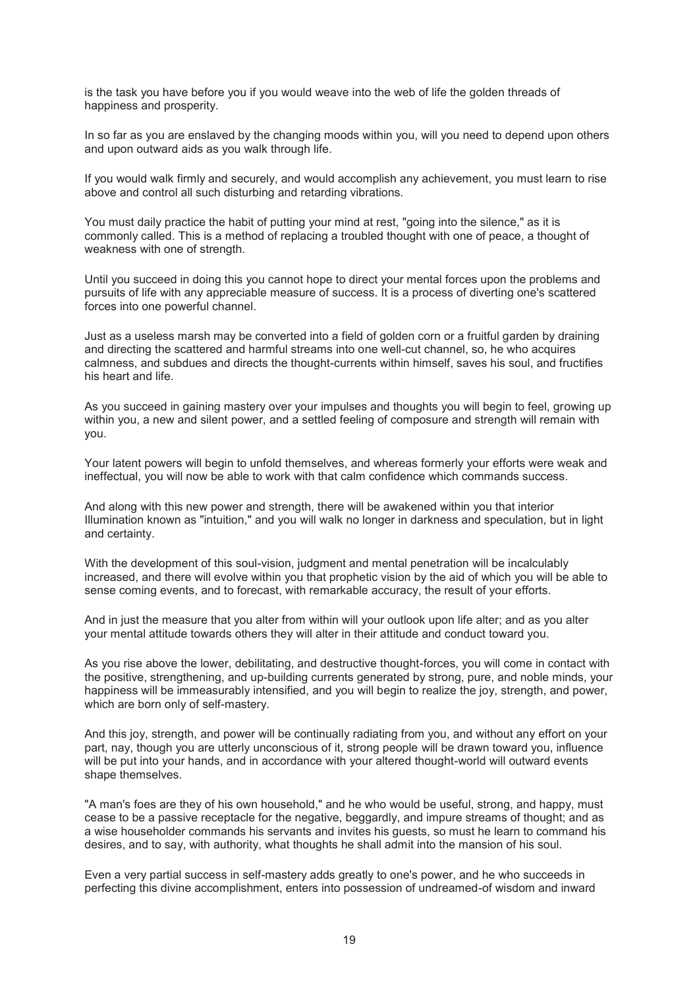is the task you have before you if you would weave into the web of life the golden threads of happiness and prosperity.

In so far as you are enslaved by the changing moods within you, will you need to depend upon others and upon outward aids as you walk through life.

If you would walk firmly and securely, and would accomplish any achievement, you must learn to rise above and control all such disturbing and retarding vibrations.

You must daily practice the habit of putting your mind at rest, "going into the silence," as it is commonly called. This is a method of replacing a troubled thought with one of peace, a thought of weakness with one of strength.

Until you succeed in doing this you cannot hope to direct your mental forces upon the problems and pursuits of life with any appreciable measure of success. It is a process of diverting one's scattered forces into one powerful channel.

Just as a useless marsh may be converted into a field of golden corn or a fruitful garden by draining and directing the scattered and harmful streams into one well-cut channel, so, he who acquires calmness, and subdues and directs the thought-currents within himself, saves his soul, and fructifies his heart and life.

As you succeed in gaining mastery over your impulses and thoughts you will begin to feel, growing up within you, a new and silent power, and a settled feeling of composure and strength will remain with you.

Your latent powers will begin to unfold themselves, and whereas formerly your efforts were weak and ineffectual, you will now be able to work with that calm confidence which commands success.

And along with this new power and strength, there will be awakened within you that interior Illumination known as "intuition," and you will walk no longer in darkness and speculation, but in light and certainty.

With the development of this soul-vision, judgment and mental penetration will be incalculably increased, and there will evolve within you that prophetic vision by the aid of which you will be able to sense coming events, and to forecast, with remarkable accuracy, the result of your efforts.

And in just the measure that you alter from within will your outlook upon life alter; and as you alter your mental attitude towards others they will alter in their attitude and conduct toward you.

As you rise above the lower, debilitating, and destructive thought-forces, you will come in contact with the positive, strengthening, and up-building currents generated by strong, pure, and noble minds, your happiness will be immeasurably intensified, and you will begin to realize the joy, strength, and power, which are born only of self-mastery.

And this joy, strength, and power will be continually radiating from you, and without any effort on your part, nay, though you are utterly unconscious of it, strong people will be drawn toward you, influence will be put into your hands, and in accordance with your altered thought-world will outward events shape themselves.

"A man's foes are they of his own household," and he who would be useful, strong, and happy, must cease to be a passive receptacle for the negative, beggardly, and impure streams of thought; and as a wise householder commands his servants and invites his guests, so must he learn to command his desires, and to say, with authority, what thoughts he shall admit into the mansion of his soul.

Even a very partial success in self-mastery adds greatly to one's power, and he who succeeds in perfecting this divine accomplishment, enters into possession of undreamed-of wisdom and inward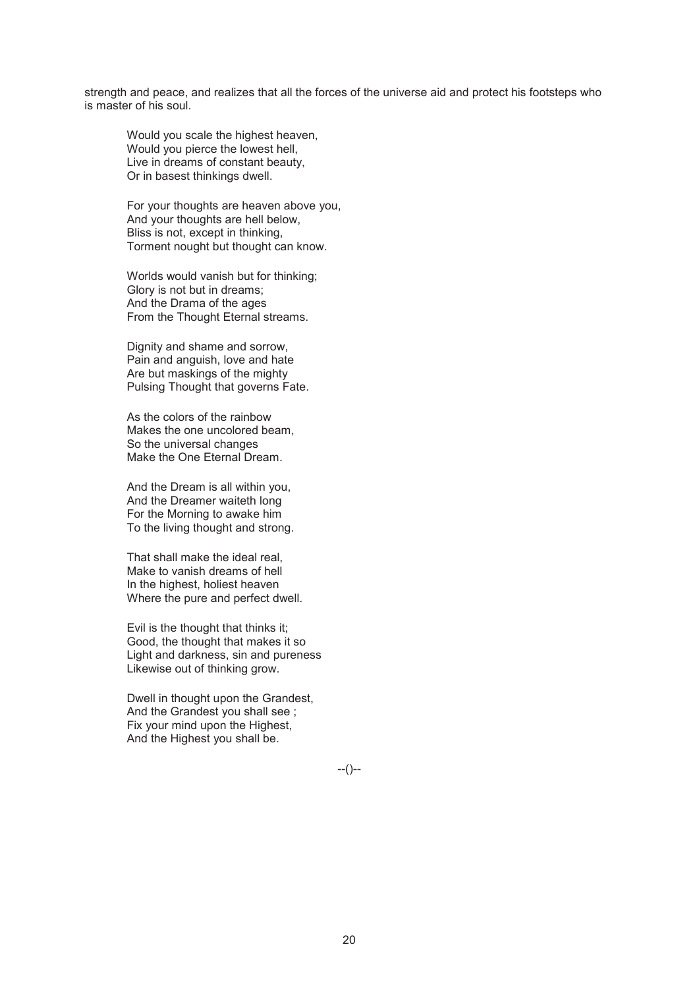strength and peace, and realizes that all the forces of the universe aid and protect his footsteps who is master of his soul.

Would you scale the highest heaven, Would you pierce the lowest hell, Live in dreams of constant beauty, Or in basest thinkings dwell.

For your thoughts are heaven above you, And your thoughts are hell below, Bliss is not, except in thinking, Torment nought but thought can know.

Worlds would vanish but for thinking; Glory is not but in dreams; And the Drama of the ages From the Thought Eternal streams.

Dignity and shame and sorrow, Pain and anguish, love and hate Are but maskings of the mighty Pulsing Thought that governs Fate.

As the colors of the rainbow Makes the one uncolored beam, So the universal changes Make the One Eternal Dream.

And the Dream is all within you, And the Dreamer waiteth long For the Morning to awake him To the living thought and strong.

That shall make the ideal real, Make to vanish dreams of hell In the highest, holiest heaven Where the pure and perfect dwell.

Evil is the thought that thinks it; Good, the thought that makes it so Light and darkness, sin and pureness Likewise out of thinking grow.

Dwell in thought upon the Grandest, And the Grandest you shall see ; Fix your mind upon the Highest, And the Highest you shall be.

--()--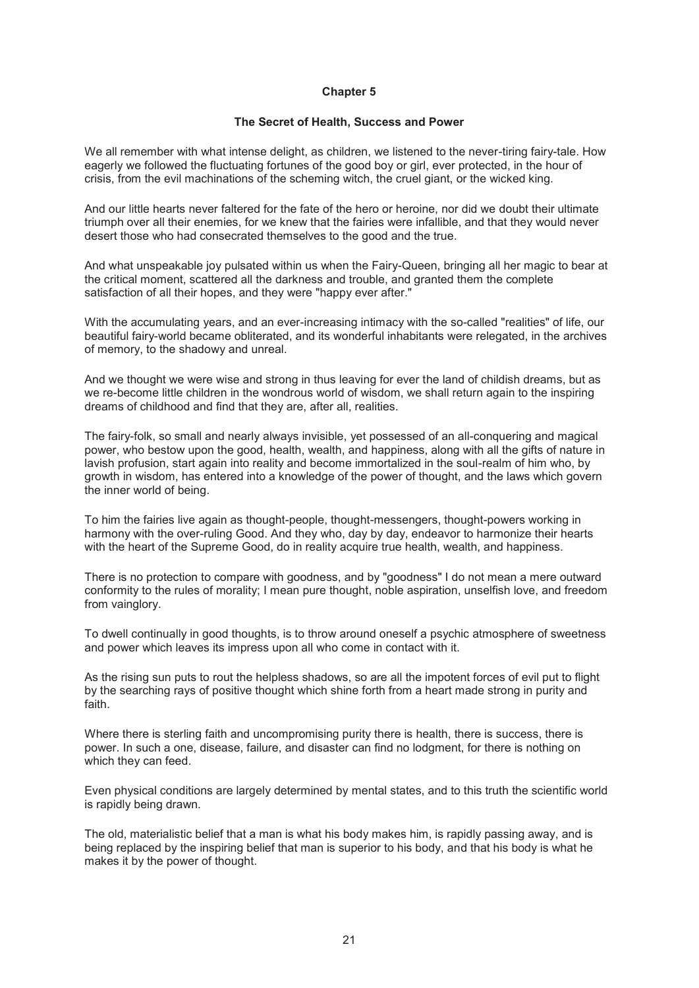#### **The Secret of Health, Success and Power**

We all remember with what intense delight, as children, we listened to the never-tiring fairy-tale. How eagerly we followed the fluctuating fortunes of the good boy or girl, ever protected, in the hour of crisis, from the evil machinations of the scheming witch, the cruel giant, or the wicked king.

And our little hearts never faltered for the fate of the hero or heroine, nor did we doubt their ultimate triumph over all their enemies, for we knew that the fairies were infallible, and that they would never desert those who had consecrated themselves to the good and the true.

And what unspeakable joy pulsated within us when the Fairy-Queen, bringing all her magic to bear at the critical moment, scattered all the darkness and trouble, and granted them the complete satisfaction of all their hopes, and they were "happy ever after."

With the accumulating years, and an ever-increasing intimacy with the so-called "realities" of life, our beautiful fairy-world became obliterated, and its wonderful inhabitants were relegated, in the archives of memory, to the shadowy and unreal.

And we thought we were wise and strong in thus leaving for ever the land of childish dreams, but as we re-become little children in the wondrous world of wisdom, we shall return again to the inspiring dreams of childhood and find that they are, after all, realities.

The fairy-folk, so small and nearly always invisible, yet possessed of an all-conquering and magical power, who bestow upon the good, health, wealth, and happiness, along with all the gifts of nature in lavish profusion, start again into reality and become immortalized in the soul-realm of him who, by growth in wisdom, has entered into a knowledge of the power of thought, and the laws which govern the inner world of being.

To him the fairies live again as thought-people, thought-messengers, thought-powers working in harmony with the over-ruling Good. And they who, day by day, endeavor to harmonize their hearts with the heart of the Supreme Good, do in reality acquire true health, wealth, and happiness.

There is no protection to compare with goodness, and by "goodness" I do not mean a mere outward conformity to the rules of morality; I mean pure thought, noble aspiration, unselfish love, and freedom from vainglory.

To dwell continually in good thoughts, is to throw around oneself a psychic atmosphere of sweetness and power which leaves its impress upon all who come in contact with it.

As the rising sun puts to rout the helpless shadows, so are all the impotent forces of evil put to flight by the searching rays of positive thought which shine forth from a heart made strong in purity and faith.

Where there is sterling faith and uncompromising purity there is health, there is success, there is power. In such a one, disease, failure, and disaster can find no lodgment, for there is nothing on which they can feed.

Even physical conditions are largely determined by mental states, and to this truth the scientific world is rapidly being drawn.

The old, materialistic belief that a man is what his body makes him, is rapidly passing away, and is being replaced by the inspiring belief that man is superior to his body, and that his body is what he makes it by the power of thought.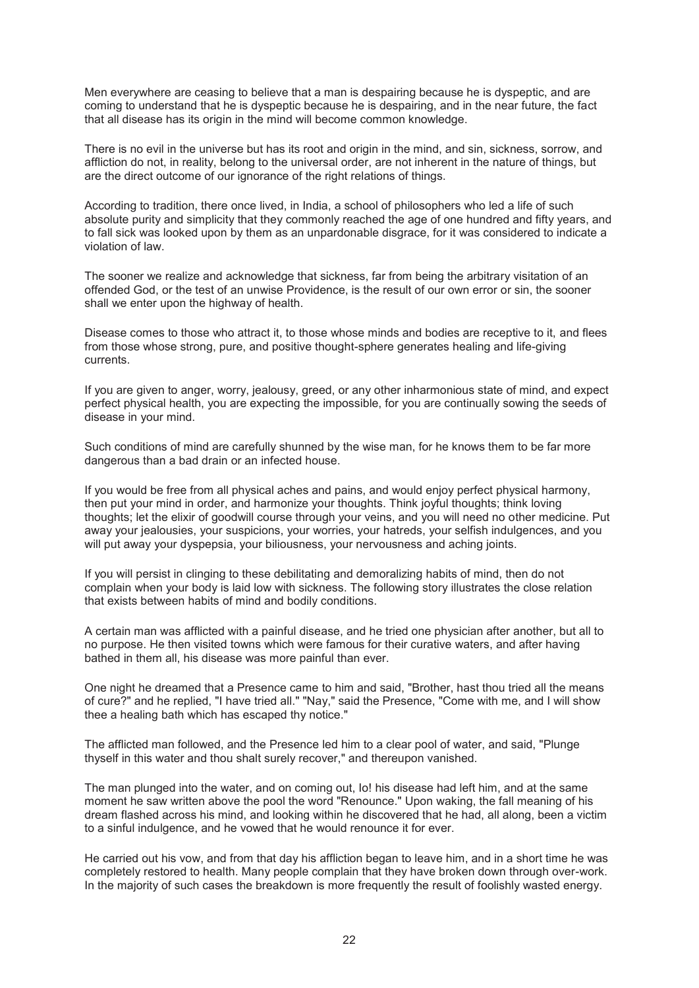Men everywhere are ceasing to believe that a man is despairing because he is dyspeptic, and are coming to understand that he is dyspeptic because he is despairing, and in the near future, the fact that all disease has its origin in the mind will become common knowledge.

There is no evil in the universe but has its root and origin in the mind, and sin, sickness, sorrow, and affliction do not, in reality, belong to the universal order, are not inherent in the nature of things, but are the direct outcome of our ignorance of the right relations of things.

According to tradition, there once lived, in India, a school of philosophers who led a life of such absolute purity and simplicity that they commonly reached the age of one hundred and fifty years, and to fall sick was looked upon by them as an unpardonable disgrace, for it was considered to indicate a violation of law.

The sooner we realize and acknowledge that sickness, far from being the arbitrary visitation of an offended God, or the test of an unwise Providence, is the result of our own error or sin, the sooner shall we enter upon the highway of health.

Disease comes to those who attract it, to those whose minds and bodies are receptive to it, and flees from those whose strong, pure, and positive thought-sphere generates healing and life-giving currents.

If you are given to anger, worry, jealousy, greed, or any other inharmonious state of mind, and expect perfect physical health, you are expecting the impossible, for you are continually sowing the seeds of disease in your mind.

Such conditions of mind are carefully shunned by the wise man, for he knows them to be far more dangerous than a bad drain or an infected house.

If you would be free from all physical aches and pains, and would enjoy perfect physical harmony, then put your mind in order, and harmonize your thoughts. Think joyful thoughts; think loving thoughts; let the elixir of goodwill course through your veins, and you will need no other medicine. Put away your jealousies, your suspicions, your worries, your hatreds, your selfish indulgences, and you will put away your dyspepsia, your biliousness, your nervousness and aching joints.

If you will persist in clinging to these debilitating and demoralizing habits of mind, then do not complain when your body is laid low with sickness. The following story illustrates the close relation that exists between habits of mind and bodily conditions.

A certain man was afflicted with a painful disease, and he tried one physician after another, but all to no purpose. He then visited towns which were famous for their curative waters, and after having bathed in them all, his disease was more painful than ever.

One night he dreamed that a Presence came to him and said, "Brother, hast thou tried all the means of cure?" and he replied, "I have tried all." "Nay," said the Presence, "Come with me, and I will show thee a healing bath which has escaped thy notice."

The afflicted man followed, and the Presence led him to a clear pool of water, and said, "Plunge thyself in this water and thou shalt surely recover," and thereupon vanished.

The man plunged into the water, and on coming out, Io! his disease had left him, and at the same moment he saw written above the pool the word "Renounce." Upon waking, the fall meaning of his dream flashed across his mind, and looking within he discovered that he had, all along, been a victim to a sinful indulgence, and he vowed that he would renounce it for ever.

He carried out his vow, and from that day his affliction began to leave him, and in a short time he was completely restored to health. Many people complain that they have broken down through over-work. In the majority of such cases the breakdown is more frequently the result of foolishly wasted energy.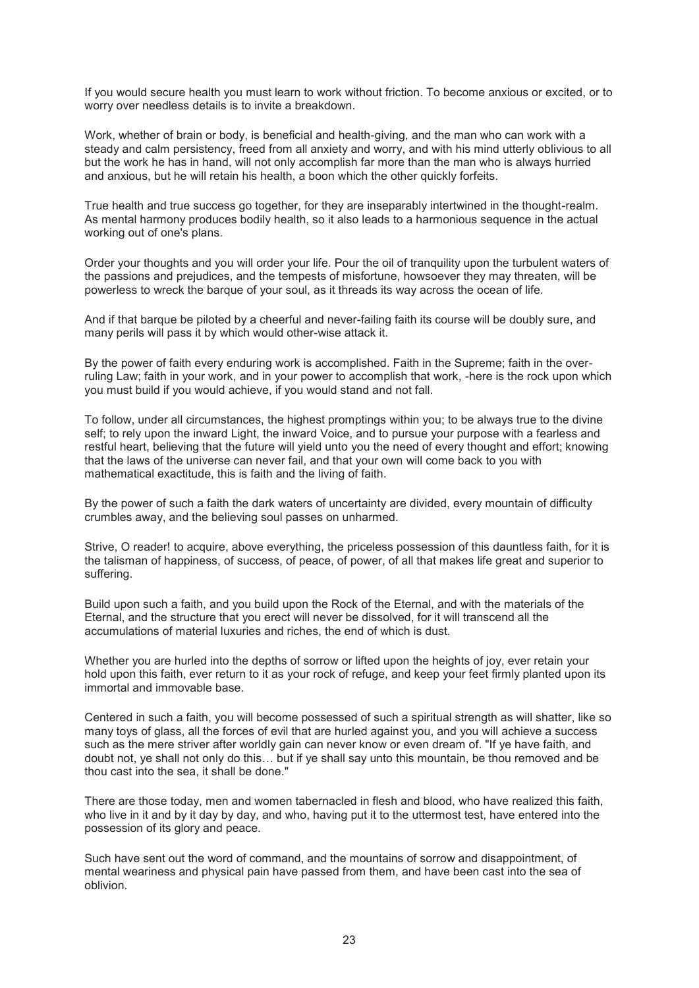If you would secure health you must learn to work without friction. To become anxious or excited, or to worry over needless details is to invite a breakdown.

Work, whether of brain or body, is beneficial and health-giving, and the man who can work with a steady and calm persistency, freed from all anxiety and worry, and with his mind utterly oblivious to all but the work he has in hand, will not only accomplish far more than the man who is always hurried and anxious, but he will retain his health, a boon which the other quickly forfeits.

True health and true success go together, for they are inseparably intertwined in the thought-realm. As mental harmony produces bodily health, so it also leads to a harmonious sequence in the actual working out of one's plans.

Order your thoughts and you will order your life. Pour the oil of tranquility upon the turbulent waters of the passions and prejudices, and the tempests of misfortune, howsoever they may threaten, will be powerless to wreck the barque of your soul, as it threads its way across the ocean of life.

And if that barque be piloted by a cheerful and never-failing faith its course will be doubly sure, and many perils will pass it by which would other-wise attack it.

By the power of faith every enduring work is accomplished. Faith in the Supreme; faith in the overruling Law; faith in your work, and in your power to accomplish that work, -here is the rock upon which you must build if you would achieve, if you would stand and not fall.

To follow, under all circumstances, the highest promptings within you; to be always true to the divine self; to rely upon the inward Light, the inward Voice, and to pursue your purpose with a fearless and restful heart, believing that the future will yield unto you the need of every thought and effort; knowing that the laws of the universe can never fail, and that your own will come back to you with mathematical exactitude, this is faith and the living of faith.

By the power of such a faith the dark waters of uncertainty are divided, every mountain of difficulty crumbles away, and the believing soul passes on unharmed.

Strive, O reader! to acquire, above everything, the priceless possession of this dauntless faith, for it is the talisman of happiness, of success, of peace, of power, of all that makes life great and superior to suffering.

Build upon such a faith, and you build upon the Rock of the Eternal, and with the materials of the Eternal, and the structure that you erect will never be dissolved, for it will transcend all the accumulations of material luxuries and riches, the end of which is dust.

Whether you are hurled into the depths of sorrow or lifted upon the heights of joy, ever retain your hold upon this faith, ever return to it as your rock of refuge, and keep your feet firmly planted upon its immortal and immovable base.

Centered in such a faith, you will become possessed of such a spiritual strength as will shatter, like so many toys of glass, all the forces of evil that are hurled against you, and you will achieve a success such as the mere striver after worldly gain can never know or even dream of. "If ye have faith, and doubt not, ye shall not only do this… but if ye shall say unto this mountain, be thou removed and be thou cast into the sea, it shall be done."

There are those today, men and women tabernacled in flesh and blood, who have realized this faith, who live in it and by it day by day, and who, having put it to the uttermost test, have entered into the possession of its glory and peace.

Such have sent out the word of command, and the mountains of sorrow and disappointment, of mental weariness and physical pain have passed from them, and have been cast into the sea of oblivion.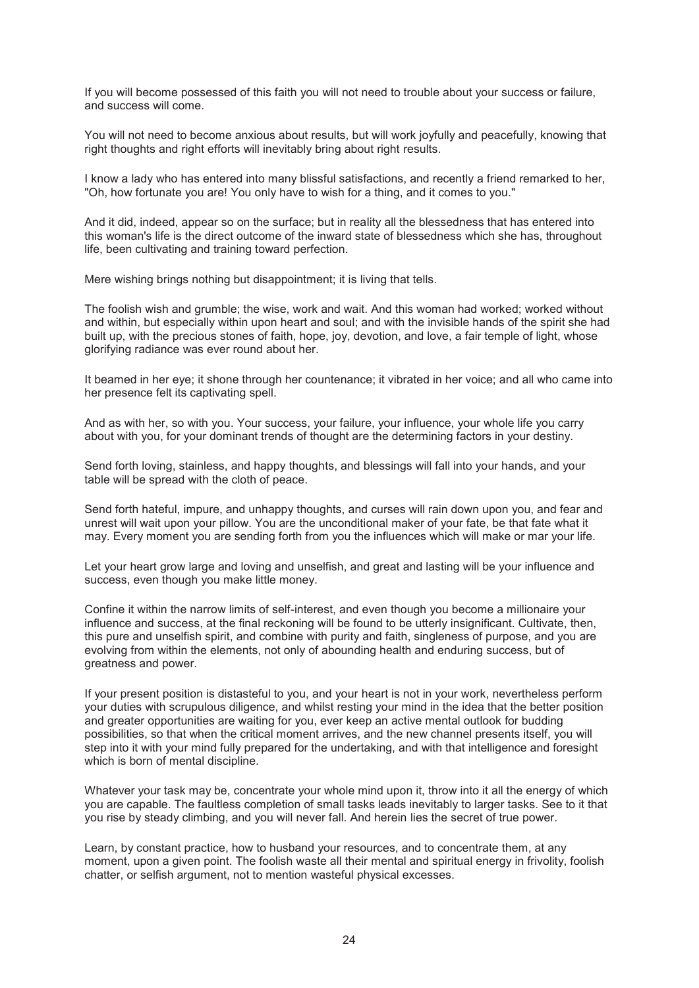If you will become possessed of this faith you will not need to trouble about your success or failure, and success will come.

You will not need to become anxious about results, but will work joyfully and peacefully, knowing that right thoughts and right efforts will inevitably bring about right results.

I know a lady who has entered into many blissful satisfactions, and recently a friend remarked to her, "Oh, how fortunate you are! You only have to wish for a thing, and it comes to you."

And it did, indeed, appear so on the surface; but in reality all the blessedness that has entered into this woman's life is the direct outcome of the inward state of blessedness which she has, throughout life, been cultivating and training toward perfection.

Mere wishing brings nothing but disappointment; it is living that tells.

The foolish wish and grumble; the wise, work and wait. And this woman had worked; worked without and within, but especially within upon heart and soul; and with the invisible hands of the spirit she had built up, with the precious stones of faith, hope, joy, devotion, and love, a fair temple of light, whose glorifying radiance was ever round about her.

It beamed in her eye; it shone through her countenance; it vibrated in her voice; and all who came into her presence felt its captivating spell.

And as with her, so with you. Your success, your failure, your influence, your whole life you carry about with you, for your dominant trends of thought are the determining factors in your destiny.

Send forth loving, stainless, and happy thoughts, and blessings will fall into your hands, and your table will be spread with the cloth of peace.

Send forth hateful, impure, and unhappy thoughts, and curses will rain down upon you, and fear and unrest will wait upon your pillow. You are the unconditional maker of your fate, be that fate what it may. Every moment you are sending forth from you the influences which will make or mar your life.

Let your heart grow large and loving and unselfish, and great and lasting will be your influence and success, even though you make little money.

Confine it within the narrow limits of self-interest, and even though you become a millionaire your influence and success, at the final reckoning will be found to be utterly insignificant. Cultivate, then, this pure and unselfish spirit, and combine with purity and faith, singleness of purpose, and you are evolving from within the elements, not only of abounding health and enduring success, but of greatness and power.

If your present position is distasteful to you, and your heart is not in your work, nevertheless perform your duties with scrupulous diligence, and whilst resting your mind in the idea that the better position and greater opportunities are waiting for you, ever keep an active mental outlook for budding possibilities, so that when the critical moment arrives, and the new channel presents itself, you will step into it with your mind fully prepared for the undertaking, and with that intelligence and foresight which is born of mental discipline.

Whatever your task may be, concentrate your whole mind upon it, throw into it all the energy of which you are capable. The faultless completion of small tasks leads inevitably to larger tasks. See to it that you rise by steady climbing, and you will never fall. And herein lies the secret of true power.

Learn, by constant practice, how to husband your resources, and to concentrate them, at any moment, upon a given point. The foolish waste all their mental and spiritual energy in frivolity, foolish chatter, or selfish argument, not to mention wasteful physical excesses.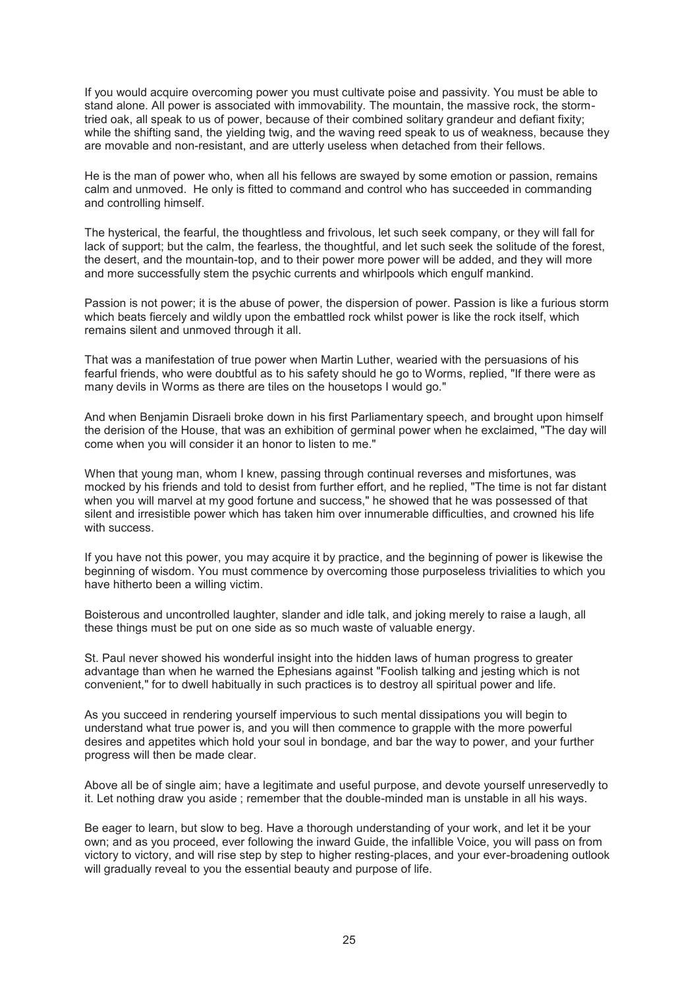If you would acquire overcoming power you must cultivate poise and passivity. You must be able to stand alone. All power is associated with immovability. The mountain, the massive rock, the stormtried oak, all speak to us of power, because of their combined solitary grandeur and defiant fixity; while the shifting sand, the yielding twig, and the waving reed speak to us of weakness, because they are movable and non-resistant, and are utterly useless when detached from their fellows.

He is the man of power who, when all his fellows are swayed by some emotion or passion, remains calm and unmoved. He only is fitted to command and control who has succeeded in commanding and controlling himself.

The hysterical, the fearful, the thoughtless and frivolous, let such seek company, or they will fall for lack of support; but the calm, the fearless, the thoughtful, and let such seek the solitude of the forest, the desert, and the mountain-top, and to their power more power will be added, and they will more and more successfully stem the psychic currents and whirlpools which engulf mankind.

Passion is not power; it is the abuse of power, the dispersion of power. Passion is like a furious storm which beats fiercely and wildly upon the embattled rock whilst power is like the rock itself, which remains silent and unmoved through it all.

That was a manifestation of true power when Martin Luther, wearied with the persuasions of his fearful friends, who were doubtful as to his safety should he go to Worms, replied, "If there were as many devils in Worms as there are tiles on the housetops I would go."

And when Benjamin Disraeli broke down in his first Parliamentary speech, and brought upon himself the derision of the House, that was an exhibition of germinal power when he exclaimed, "The day will come when you will consider it an honor to listen to me."

When that young man, whom I knew, passing through continual reverses and misfortunes, was mocked by his friends and told to desist from further effort, and he replied, "The time is not far distant when you will marvel at my good fortune and success," he showed that he was possessed of that silent and irresistible power which has taken him over innumerable difficulties, and crowned his life with success.

If you have not this power, you may acquire it by practice, and the beginning of power is likewise the beginning of wisdom. You must commence by overcoming those purposeless trivialities to which you have hitherto been a willing victim.

Boisterous and uncontrolled laughter, slander and idle talk, and joking merely to raise a laugh, all these things must be put on one side as so much waste of valuable energy.

St. Paul never showed his wonderful insight into the hidden laws of human progress to greater advantage than when he warned the Ephesians against "Foolish talking and jesting which is not convenient," for to dwell habitually in such practices is to destroy all spiritual power and life.

As you succeed in rendering yourself impervious to such mental dissipations you will begin to understand what true power is, and you will then commence to grapple with the more powerful desires and appetites which hold your soul in bondage, and bar the way to power, and your further progress will then be made clear.

Above all be of single aim; have a legitimate and useful purpose, and devote yourself unreservedly to it. Let nothing draw you aside ; remember that the double-minded man is unstable in all his ways.

Be eager to learn, but slow to beg. Have a thorough understanding of your work, and let it be your own; and as you proceed, ever following the inward Guide, the infallible Voice, you will pass on from victory to victory, and will rise step by step to higher resting-places, and your ever-broadening outlook will gradually reveal to you the essential beauty and purpose of life.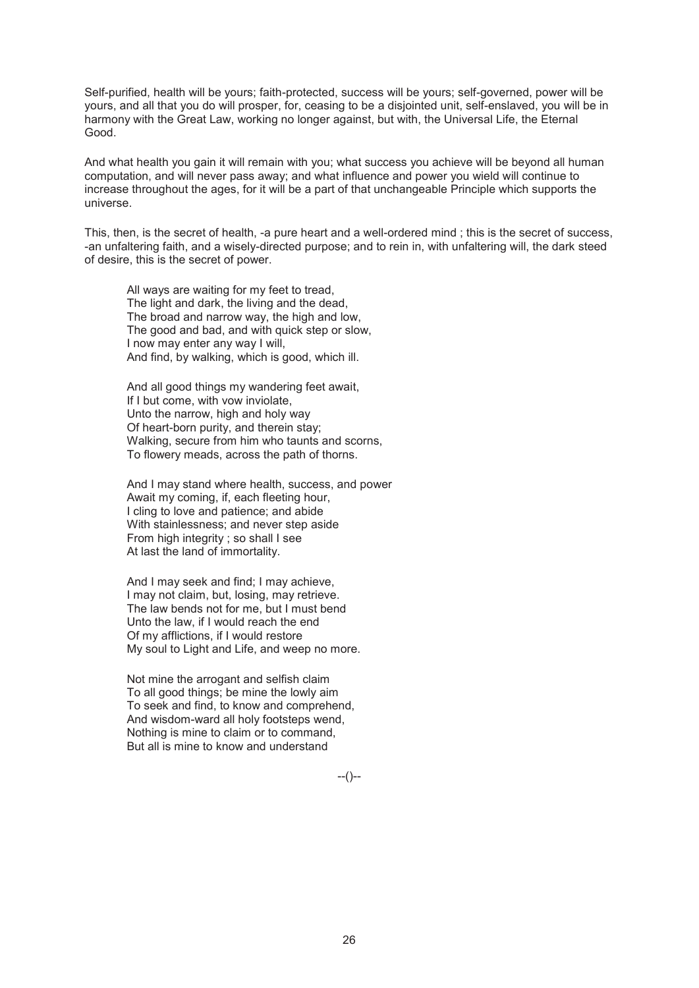Self-purified, health will be yours; faith-protected, success will be yours; self-governed, power will be yours, and all that you do will prosper, for, ceasing to be a disjointed unit, self-enslaved, you will be in harmony with the Great Law, working no longer against, but with, the Universal Life, the Eternal Good.

And what health you gain it will remain with you; what success you achieve will be beyond all human computation, and will never pass away; and what influence and power you wield will continue to increase throughout the ages, for it will be a part of that unchangeable Principle which supports the universe.

This, then, is the secret of health, -a pure heart and a well-ordered mind ; this is the secret of success, -an unfaltering faith, and a wisely-directed purpose; and to rein in, with unfaltering will, the dark steed of desire, this is the secret of power.

All ways are waiting for my feet to tread, The light and dark, the living and the dead, The broad and narrow way, the high and low, The good and bad, and with quick step or slow, I now may enter any way I will, And find, by walking, which is good, which ill.

And all good things my wandering feet await, If I but come, with vow inviolate, Unto the narrow, high and holy way Of heart-born purity, and therein stay; Walking, secure from him who taunts and scorns, To flowery meads, across the path of thorns.

And I may stand where health, success, and power Await my coming, if, each fleeting hour, I cling to love and patience; and abide With stainlessness; and never step aside From high integrity ; so shall I see At last the land of immortality.

And I may seek and find; I may achieve, I may not claim, but, losing, may retrieve. The law bends not for me, but I must bend Unto the law, if I would reach the end Of my afflictions, if I would restore My soul to Light and Life, and weep no more.

Not mine the arrogant and selfish claim To all good things; be mine the lowly aim To seek and find, to know and comprehend, And wisdom-ward all holy footsteps wend, Nothing is mine to claim or to command, But all is mine to know and understand

--()--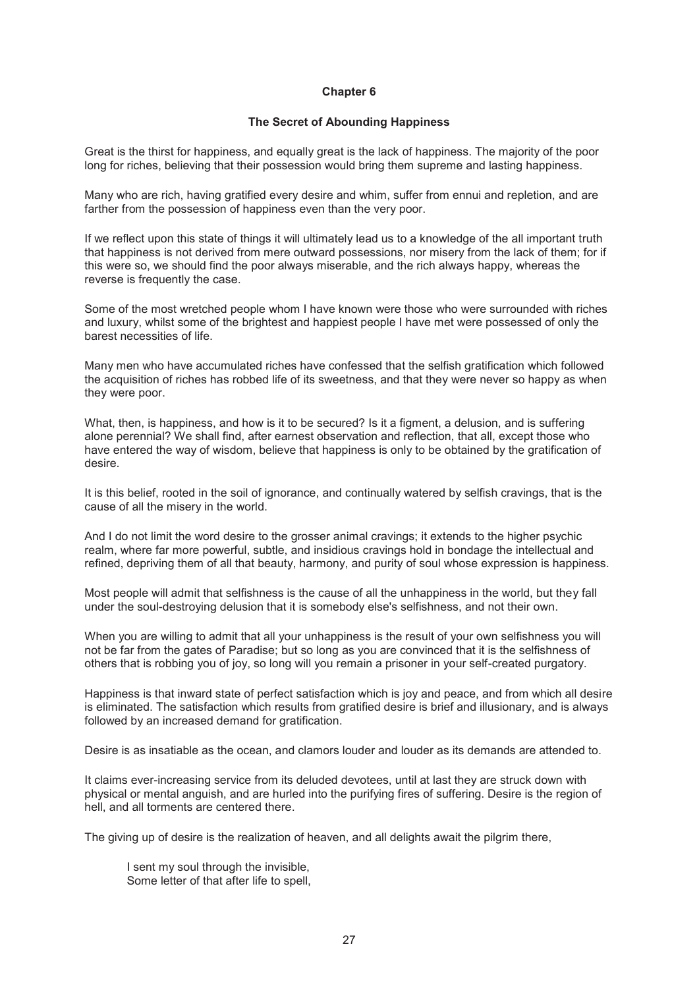## **The Secret of Abounding Happiness**

Great is the thirst for happiness, and equally great is the lack of happiness. The majority of the poor long for riches, believing that their possession would bring them supreme and lasting happiness.

Many who are rich, having gratified every desire and whim, suffer from ennui and repletion, and are farther from the possession of happiness even than the very poor.

If we reflect upon this state of things it will ultimately lead us to a knowledge of the all important truth that happiness is not derived from mere outward possessions, nor misery from the lack of them; for if this were so, we should find the poor always miserable, and the rich always happy, whereas the reverse is frequently the case.

Some of the most wretched people whom I have known were those who were surrounded with riches and luxury, whilst some of the brightest and happiest people I have met were possessed of only the barest necessities of life.

Many men who have accumulated riches have confessed that the selfish gratification which followed the acquisition of riches has robbed life of its sweetness, and that they were never so happy as when they were poor.

What, then, is happiness, and how is it to be secured? Is it a figment, a delusion, and is suffering alone perennial? We shall find, after earnest observation and reflection, that all, except those who have entered the way of wisdom, believe that happiness is only to be obtained by the gratification of desire.

It is this belief, rooted in the soil of ignorance, and continually watered by selfish cravings, that is the cause of all the misery in the world.

And I do not limit the word desire to the grosser animal cravings; it extends to the higher psychic realm, where far more powerful, subtle, and insidious cravings hold in bondage the intellectual and refined, depriving them of all that beauty, harmony, and purity of soul whose expression is happiness.

Most people will admit that selfishness is the cause of all the unhappiness in the world, but they fall under the soul-destroying delusion that it is somebody else's selfishness, and not their own.

When you are willing to admit that all your unhappiness is the result of your own selfishness you will not be far from the gates of Paradise; but so long as you are convinced that it is the selfishness of others that is robbing you of joy, so long will you remain a prisoner in your self-created purgatory.

Happiness is that inward state of perfect satisfaction which is joy and peace, and from which all desire is eliminated. The satisfaction which results from gratified desire is brief and illusionary, and is always followed by an increased demand for gratification.

Desire is as insatiable as the ocean, and clamors louder and louder as its demands are attended to.

It claims ever-increasing service from its deluded devotees, until at last they are struck down with physical or mental anguish, and are hurled into the purifying fires of suffering. Desire is the region of hell, and all torments are centered there.

The giving up of desire is the realization of heaven, and all delights await the pilgrim there,

I sent my soul through the invisible, Some letter of that after life to spell,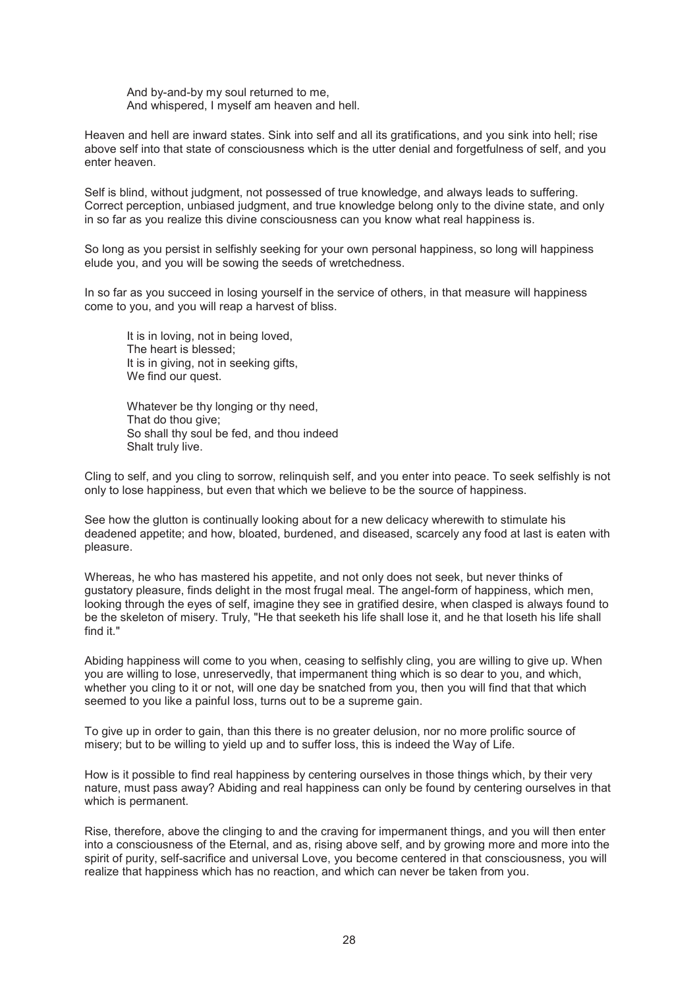And by-and-by my soul returned to me, And whispered, I myself am heaven and hell.

Heaven and hell are inward states. Sink into self and all its gratifications, and you sink into hell; rise above self into that state of consciousness which is the utter denial and forgetfulness of self, and you enter heaven.

Self is blind, without judgment, not possessed of true knowledge, and always leads to suffering. Correct perception, unbiased judgment, and true knowledge belong only to the divine state, and only in so far as you realize this divine consciousness can you know what real happiness is.

So long as you persist in selfishly seeking for your own personal happiness, so long will happiness elude you, and you will be sowing the seeds of wretchedness.

In so far as you succeed in losing yourself in the service of others, in that measure will happiness come to you, and you will reap a harvest of bliss.

It is in loving, not in being loved, The heart is blessed; It is in giving, not in seeking gifts. We find our quest.

Whatever be thy longing or thy need, That do thou give; So shall thy soul be fed, and thou indeed Shalt truly live.

Cling to self, and you cling to sorrow, relinquish self, and you enter into peace. To seek selfishly is not only to lose happiness, but even that which we believe to be the source of happiness.

See how the glutton is continually looking about for a new delicacy wherewith to stimulate his deadened appetite; and how, bloated, burdened, and diseased, scarcely any food at last is eaten with pleasure.

Whereas, he who has mastered his appetite, and not only does not seek, but never thinks of gustatory pleasure, finds delight in the most frugal meal. The angel-form of happiness, which men, looking through the eyes of self, imagine they see in gratified desire, when clasped is always found to be the skeleton of misery. Truly, "He that seeketh his life shall lose it, and he that loseth his life shall find it."

Abiding happiness will come to you when, ceasing to selfishly cling, you are willing to give up. When you are willing to lose, unreservedly, that impermanent thing which is so dear to you, and which, whether you cling to it or not, will one day be snatched from you, then you will find that that which seemed to you like a painful loss, turns out to be a supreme gain.

To give up in order to gain, than this there is no greater delusion, nor no more prolific source of misery; but to be willing to yield up and to suffer loss, this is indeed the Way of Life.

How is it possible to find real happiness by centering ourselves in those things which, by their very nature, must pass away? Abiding and real happiness can only be found by centering ourselves in that which is permanent.

Rise, therefore, above the clinging to and the craving for impermanent things, and you will then enter into a consciousness of the Eternal, and as, rising above self, and by growing more and more into the spirit of purity, self-sacrifice and universal Love, you become centered in that consciousness, you will realize that happiness which has no reaction, and which can never be taken from you.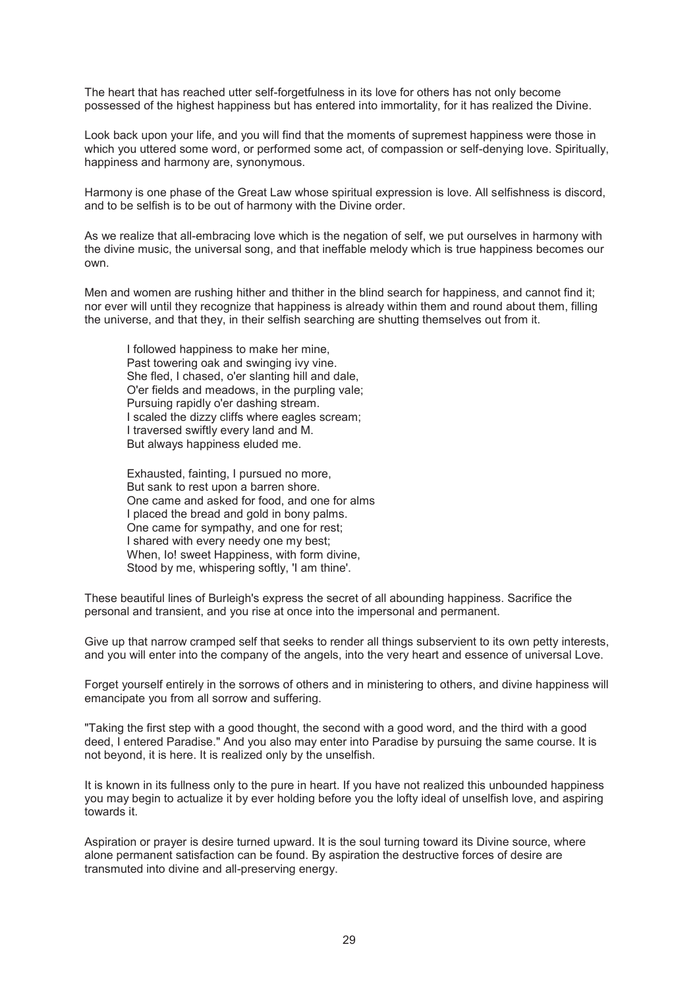The heart that has reached utter self-forgetfulness in its love for others has not only become possessed of the highest happiness but has entered into immortality, for it has realized the Divine.

Look back upon your life, and you will find that the moments of supremest happiness were those in which you uttered some word, or performed some act, of compassion or self-denying love. Spiritually, happiness and harmony are, synonymous.

Harmony is one phase of the Great Law whose spiritual expression is love. All selfishness is discord, and to be selfish is to be out of harmony with the Divine order.

As we realize that all-embracing love which is the negation of self, we put ourselves in harmony with the divine music, the universal song, and that ineffable melody which is true happiness becomes our own.

Men and women are rushing hither and thither in the blind search for happiness, and cannot find it; nor ever will until they recognize that happiness is already within them and round about them, filling the universe, and that they, in their selfish searching are shutting themselves out from it.

I followed happiness to make her mine, Past towering oak and swinging ivy vine. She fled, I chased, o'er slanting hill and dale, O'er fields and meadows, in the purpling vale; Pursuing rapidly o'er dashing stream. I scaled the dizzy cliffs where eagles scream; I traversed swiftly every land and M. But always happiness eluded me.

Exhausted, fainting, I pursued no more, But sank to rest upon a barren shore. One came and asked for food, and one for alms I placed the bread and gold in bony palms. One came for sympathy, and one for rest; I shared with every needy one my best; When, Io! sweet Happiness, with form divine, Stood by me, whispering softly, 'I am thine'.

These beautiful lines of Burleigh's express the secret of all abounding happiness. Sacrifice the personal and transient, and you rise at once into the impersonal and permanent.

Give up that narrow cramped self that seeks to render all things subservient to its own petty interests, and you will enter into the company of the angels, into the very heart and essence of universal Love.

Forget yourself entirely in the sorrows of others and in ministering to others, and divine happiness will emancipate you from all sorrow and suffering.

"Taking the first step with a good thought, the second with a good word, and the third with a good deed, I entered Paradise." And you also may enter into Paradise by pursuing the same course. It is not beyond, it is here. It is realized only by the unselfish.

It is known in its fullness only to the pure in heart. If you have not realized this unbounded happiness you may begin to actualize it by ever holding before you the lofty ideal of unselfish love, and aspiring towards it.

Aspiration or prayer is desire turned upward. It is the soul turning toward its Divine source, where alone permanent satisfaction can be found. By aspiration the destructive forces of desire are transmuted into divine and all-preserving energy.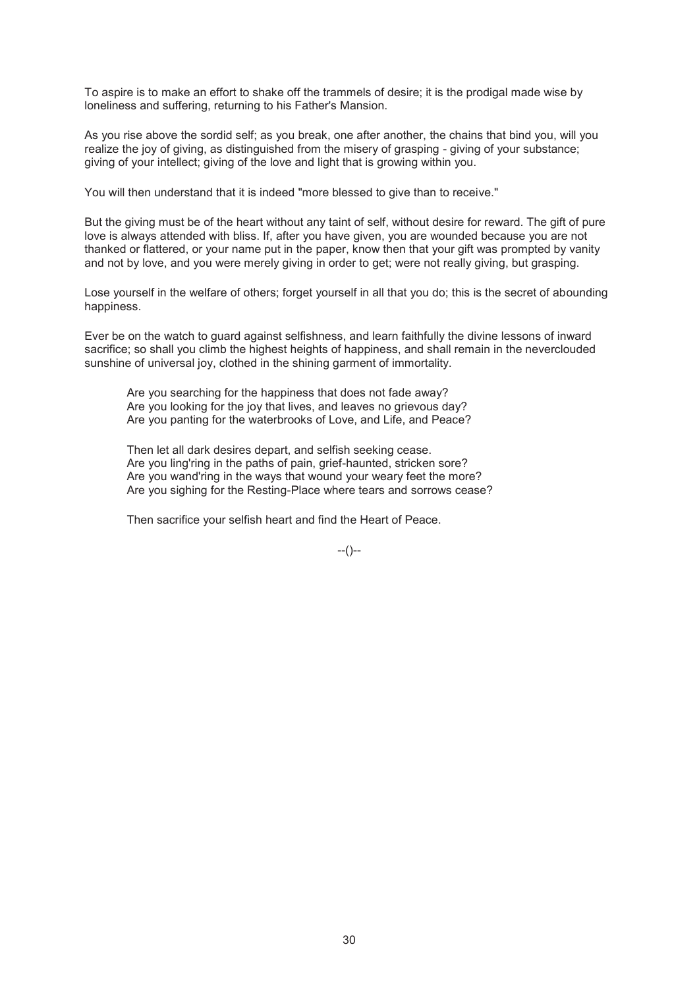To aspire is to make an effort to shake off the trammels of desire; it is the prodigal made wise by loneliness and suffering, returning to his Father's Mansion.

As you rise above the sordid self; as you break, one after another, the chains that bind you, will you realize the joy of giving, as distinguished from the misery of grasping - giving of your substance; giving of your intellect; giving of the love and light that is growing within you.

You will then understand that it is indeed "more blessed to give than to receive."

But the giving must be of the heart without any taint of self, without desire for reward. The gift of pure love is always attended with bliss. If, after you have given, you are wounded because you are not thanked or flattered, or your name put in the paper, know then that your gift was prompted by vanity and not by love, and you were merely giving in order to get; were not really giving, but grasping.

Lose yourself in the welfare of others; forget yourself in all that you do; this is the secret of abounding happiness.

Ever be on the watch to guard against selfishness, and learn faithfully the divine lessons of inward sacrifice; so shall you climb the highest heights of happiness, and shall remain in the neverclouded sunshine of universal joy, clothed in the shining garment of immortality.

Are you searching for the happiness that does not fade away? Are you looking for the joy that lives, and leaves no grievous day? Are you panting for the waterbrooks of Love, and Life, and Peace?

Then let all dark desires depart, and selfish seeking cease. Are you ling'ring in the paths of pain, grief-haunted, stricken sore? Are you wand'ring in the ways that wound your weary feet the more? Are you sighing for the Resting-Place where tears and sorrows cease?

Then sacrifice your selfish heart and find the Heart of Peace.

 $-(-)$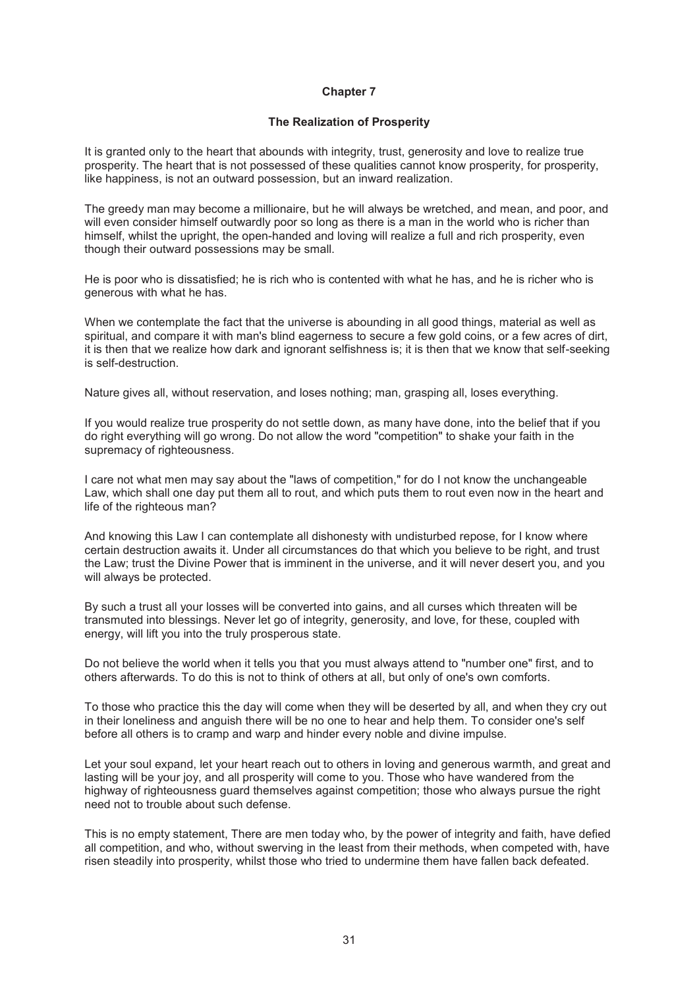## **The Realization of Prosperity**

It is granted only to the heart that abounds with integrity, trust, generosity and love to realize true prosperity. The heart that is not possessed of these qualities cannot know prosperity, for prosperity, like happiness, is not an outward possession, but an inward realization.

The greedy man may become a millionaire, but he will always be wretched, and mean, and poor, and will even consider himself outwardly poor so long as there is a man in the world who is richer than himself, whilst the upright, the open-handed and loving will realize a full and rich prosperity, even though their outward possessions may be small.

He is poor who is dissatisfied; he is rich who is contented with what he has, and he is richer who is generous with what he has.

When we contemplate the fact that the universe is abounding in all good things, material as well as spiritual, and compare it with man's blind eagerness to secure a few gold coins, or a few acres of dirt, it is then that we realize how dark and ignorant selfishness is; it is then that we know that self-seeking is self-destruction.

Nature gives all, without reservation, and loses nothing; man, grasping all, loses everything.

If you would realize true prosperity do not settle down, as many have done, into the belief that if you do right everything will go wrong. Do not allow the word "competition" to shake your faith in the supremacy of righteousness.

I care not what men may say about the "laws of competition," for do I not know the unchangeable Law, which shall one day put them all to rout, and which puts them to rout even now in the heart and life of the righteous man?

And knowing this Law I can contemplate all dishonesty with undisturbed repose, for I know where certain destruction awaits it. Under all circumstances do that which you believe to be right, and trust the Law; trust the Divine Power that is imminent in the universe, and it will never desert you, and you will always be protected.

By such a trust all your losses will be converted into gains, and all curses which threaten will be transmuted into blessings. Never let go of integrity, generosity, and love, for these, coupled with energy, will lift you into the truly prosperous state.

Do not believe the world when it tells you that you must always attend to "number one" first, and to others afterwards. To do this is not to think of others at all, but only of one's own comforts.

To those who practice this the day will come when they will be deserted by all, and when they cry out in their loneliness and anguish there will be no one to hear and help them. To consider one's self before all others is to cramp and warp and hinder every noble and divine impulse.

Let your soul expand, let your heart reach out to others in loving and generous warmth, and great and lasting will be your joy, and all prosperity will come to you. Those who have wandered from the highway of righteousness guard themselves against competition; those who always pursue the right need not to trouble about such defense.

This is no empty statement, There are men today who, by the power of integrity and faith, have defied all competition, and who, without swerving in the least from their methods, when competed with, have risen steadily into prosperity, whilst those who tried to undermine them have fallen back defeated.